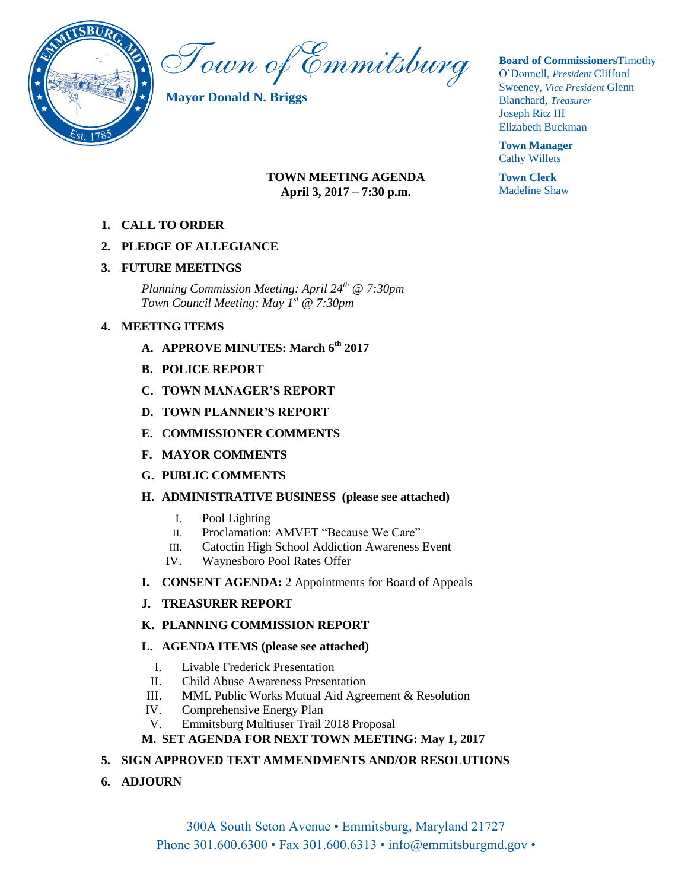

Town of Emmitsburg

**Mayor Donald N. Briggs**

#### **TOWN MEETING AGENDA April 3, 2017 – 7:30 p.m.**

**1. CALL TO ORDER**

### **2. PLEDGE OF ALLEGIANCE**

#### **3. FUTURE MEETINGS**

*Planning Commission Meeting: April 24th @ 7:30pm Town Council Meeting: May 1st @ 7:30pm*

### **4. MEETING ITEMS**

- **A. APPROVE MINUTES: March 6th 2017**
- **B. POLICE REPORT**
- **C. TOWN MANAGER'S REPORT**
- **D. TOWN PLANNER'S REPORT**
- **E. COMMISSIONER COMMENTS**
- **F. MAYOR COMMENTS**
- **G. PUBLIC COMMENTS**

#### **H. ADMINISTRATIVE BUSINESS (please see attached)**

- I. Pool Lighting
- II. Proclamation: AMVET "Because We Care"
- III. Catoctin High School Addiction Awareness Event
- IV. Waynesboro Pool Rates Offer
- **I. CONSENT AGENDA:** 2 Appointments for Board of Appeals
- **J. TREASURER REPORT**

# **K. PLANNING COMMISSION REPORT**

#### **L. AGENDA ITEMS (please see attached)**

- I. Livable Frederick Presentation
- II. Child Abuse Awareness Presentation
- III. MML Public Works Mutual Aid Agreement & Resolution
- IV. Comprehensive Energy Plan
- V. Emmitsburg Multiuser Trail 2018 Proposal

# **M. SET AGENDA FOR NEXT TOWN MEETING: May 1, 2017**

# **5. SIGN APPROVED TEXT AMMENDMENTS AND/OR RESOLUTIONS**

**6. ADJOURN** 

**Board of Commissioners**Timothy O"Donnell, *President* Clifford Sweeney, *Vice President* Glenn Blanchard, *Treasurer*  Joseph Ritz III Elizabeth Buckman

**Town Manager** Cathy Willets

**Town Clerk** Madeline Shaw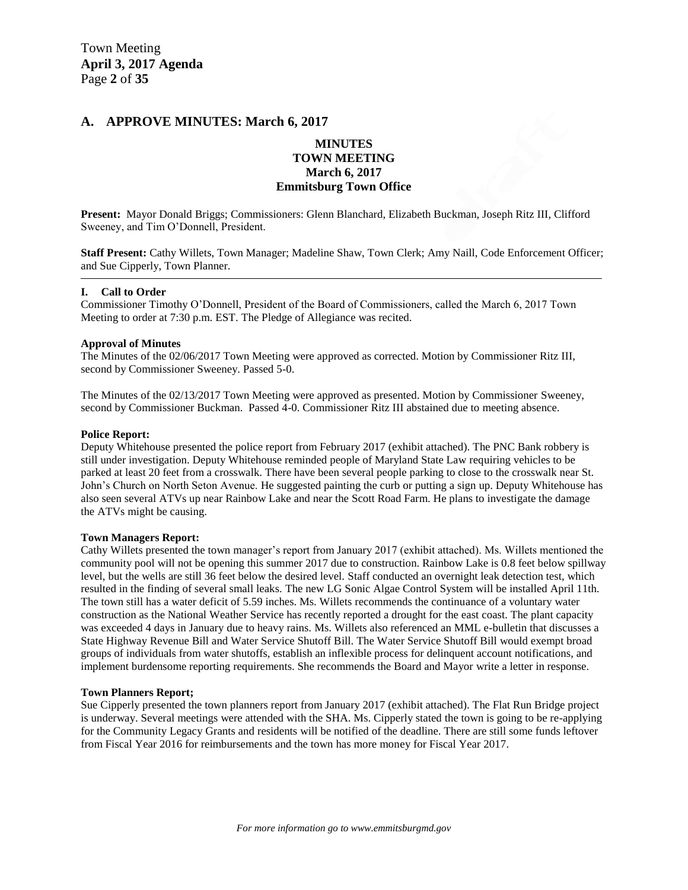#### **A. APPROVE MINUTES: March 6, 2017**

#### **MINUTES TOWN MEETING March 6, 2017 Emmitsburg Town Office**

**Present:** Mayor Donald Briggs; Commissioners: Glenn Blanchard, Elizabeth Buckman, Joseph Ritz III, Clifford Sweeney, and Tim O"Donnell, President.

**Staff Present:** Cathy Willets, Town Manager; Madeline Shaw, Town Clerk; Amy Naill, Code Enforcement Officer; and Sue Cipperly, Town Planner.

#### **I. Call to Order**

Commissioner Timothy O"Donnell, President of the Board of Commissioners, called the March 6, 2017 Town Meeting to order at 7:30 p.m. EST. The Pledge of Allegiance was recited.

#### **Approval of Minutes**

The Minutes of the 02/06/2017 Town Meeting were approved as corrected. Motion by Commissioner Ritz III, second by Commissioner Sweeney. Passed 5-0.

The Minutes of the 02/13/2017 Town Meeting were approved as presented. Motion by Commissioner Sweeney, second by Commissioner Buckman. Passed 4-0. Commissioner Ritz III abstained due to meeting absence.

#### **Police Report:**

Deputy Whitehouse presented the police report from February 2017 (exhibit attached). The PNC Bank robbery is still under investigation. Deputy Whitehouse reminded people of Maryland State Law requiring vehicles to be parked at least 20 feet from a crosswalk. There have been several people parking to close to the crosswalk near St. John"s Church on North Seton Avenue. He suggested painting the curb or putting a sign up. Deputy Whitehouse has also seen several ATVs up near Rainbow Lake and near the Scott Road Farm. He plans to investigate the damage the ATVs might be causing.

#### **Town Managers Report:**

Cathy Willets presented the town manager's report from January 2017 (exhibit attached). Ms. Willets mentioned the community pool will not be opening this summer 2017 due to construction. Rainbow Lake is 0.8 feet below spillway level, but the wells are still 36 feet below the desired level. Staff conducted an overnight leak detection test, which resulted in the finding of several small leaks. The new LG Sonic Algae Control System will be installed April 11th. The town still has a water deficit of 5.59 inches. Ms. Willets recommends the continuance of a voluntary water construction as the National Weather Service has recently reported a drought for the east coast. The plant capacity was exceeded 4 days in January due to heavy rains. Ms. Willets also referenced an MML e-bulletin that discusses a State Highway Revenue Bill and Water Service Shutoff Bill. The Water Service Shutoff Bill would exempt broad groups of individuals from water shutoffs, establish an inflexible process for delinquent account notifications, and implement burdensome reporting requirements. She recommends the Board and Mayor write a letter in response.

#### **Town Planners Report;**

Sue Cipperly presented the town planners report from January 2017 (exhibit attached). The Flat Run Bridge project is underway. Several meetings were attended with the SHA. Ms. Cipperly stated the town is going to be re-applying for the Community Legacy Grants and residents will be notified of the deadline. There are still some funds leftover from Fiscal Year 2016 for reimbursements and the town has more money for Fiscal Year 2017.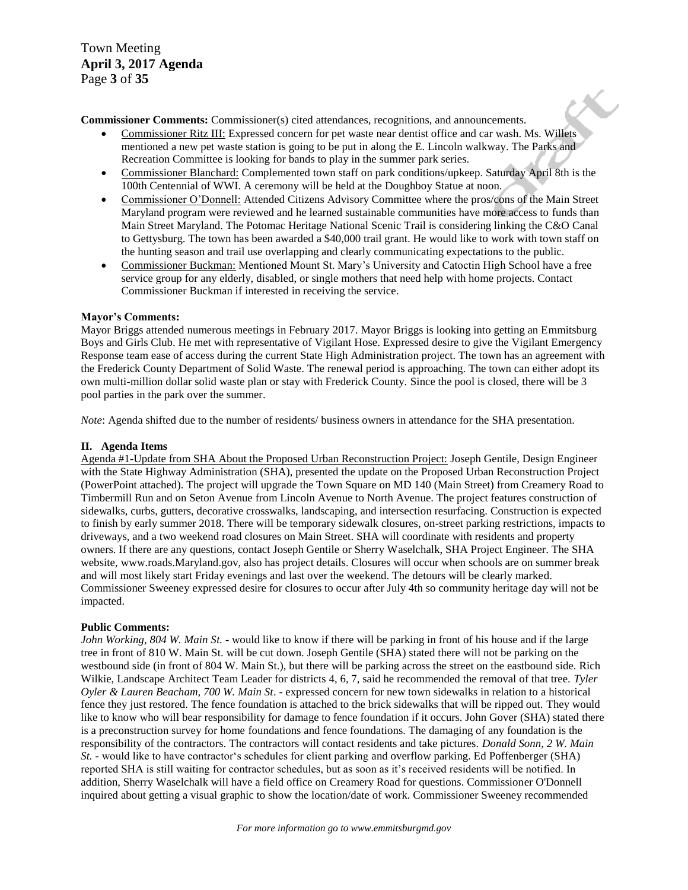Town Meeting **April 3, 2017 Agenda**  Page **3** of **35**

**Commissioner Comments:** Commissioner(s) cited attendances, recognitions, and announcements.

- Commissioner Ritz III: Expressed concern for pet waste near dentist office and car wash. Ms. Willets mentioned a new pet waste station is going to be put in along the E. Lincoln walkway. The Parks and Recreation Committee is looking for bands to play in the summer park series.
- Commissioner Blanchard: Complemented town staff on park conditions/upkeep. Saturday April 8th is the 100th Centennial of WWI. A ceremony will be held at the Doughboy Statue at noon.

X.,

- Commissioner O"Donnell: Attended Citizens Advisory Committee where the pros/cons of the Main Street Maryland program were reviewed and he learned sustainable communities have more access to funds than Main Street Maryland. The Potomac Heritage National Scenic Trail is considering linking the C&O Canal to Gettysburg. The town has been awarded a \$40,000 trail grant. He would like to work with town staff on the hunting season and trail use overlapping and clearly communicating expectations to the public.
- Commissioner Buckman: Mentioned Mount St. Mary"s University and Catoctin High School have a free service group for any elderly, disabled, or single mothers that need help with home projects. Contact Commissioner Buckman if interested in receiving the service.

#### **Mayor's Comments:**

Mayor Briggs attended numerous meetings in February 2017. Mayor Briggs is looking into getting an Emmitsburg Boys and Girls Club. He met with representative of Vigilant Hose. Expressed desire to give the Vigilant Emergency Response team ease of access during the current State High Administration project. The town has an agreement with the Frederick County Department of Solid Waste. The renewal period is approaching. The town can either adopt its own multi-million dollar solid waste plan or stay with Frederick County. Since the pool is closed, there will be 3 pool parties in the park over the summer.

*Note*: Agenda shifted due to the number of residents/ business owners in attendance for the SHA presentation.

#### **II. Agenda Items**

Agenda #1-Update from SHA About the Proposed Urban Reconstruction Project: Joseph Gentile, Design Engineer with the State Highway Administration (SHA), presented the update on the Proposed Urban Reconstruction Project (PowerPoint attached). The project will upgrade the Town Square on MD 140 (Main Street) from Creamery Road to Timbermill Run and on Seton Avenue from Lincoln Avenue to North Avenue. The project features construction of sidewalks, curbs, gutters, decorative crosswalks, landscaping, and intersection resurfacing. Construction is expected to finish by early summer 2018. There will be temporary sidewalk closures, on-street parking restrictions, impacts to driveways, and a two weekend road closures on Main Street. SHA will coordinate with residents and property owners. If there are any questions, contact Joseph Gentile or Sherry Waselchalk, SHA Project Engineer. The SHA website, www.roads.Maryland.gov, also has project details. Closures will occur when schools are on summer break and will most likely start Friday evenings and last over the weekend. The detours will be clearly marked. Commissioner Sweeney expressed desire for closures to occur after July 4th so community heritage day will not be impacted.

#### **Public Comments:**

*John Working, 804 W. Main St.* - would like to know if there will be parking in front of his house and if the large tree in front of 810 W. Main St. will be cut down. Joseph Gentile (SHA) stated there will not be parking on the westbound side (in front of 804 W. Main St.), but there will be parking across the street on the eastbound side. Rich Wilkie, Landscape Architect Team Leader for districts 4, 6, 7, said he recommended the removal of that tree. *Tyler Oyler & Lauren Beacham, 700 W. Main St*. - expressed concern for new town sidewalks in relation to a historical fence they just restored. The fence foundation is attached to the brick sidewalks that will be ripped out. They would like to know who will bear responsibility for damage to fence foundation if it occurs. John Gover (SHA) stated there is a preconstruction survey for home foundations and fence foundations. The damaging of any foundation is the responsibility of the contractors. The contractors will contact residents and take pictures. *Donald Sonn, 2 W. Main St.* - would like to have contractor's schedules for client parking and overflow parking. Ed Poffenberger (SHA) reported SHA is still waiting for contractor schedules, but as soon as it's received residents will be notified. In addition, Sherry Waselchalk will have a field office on Creamery Road for questions. Commissioner O'Donnell inquired about getting a visual graphic to show the location/date of work. Commissioner Sweeney recommended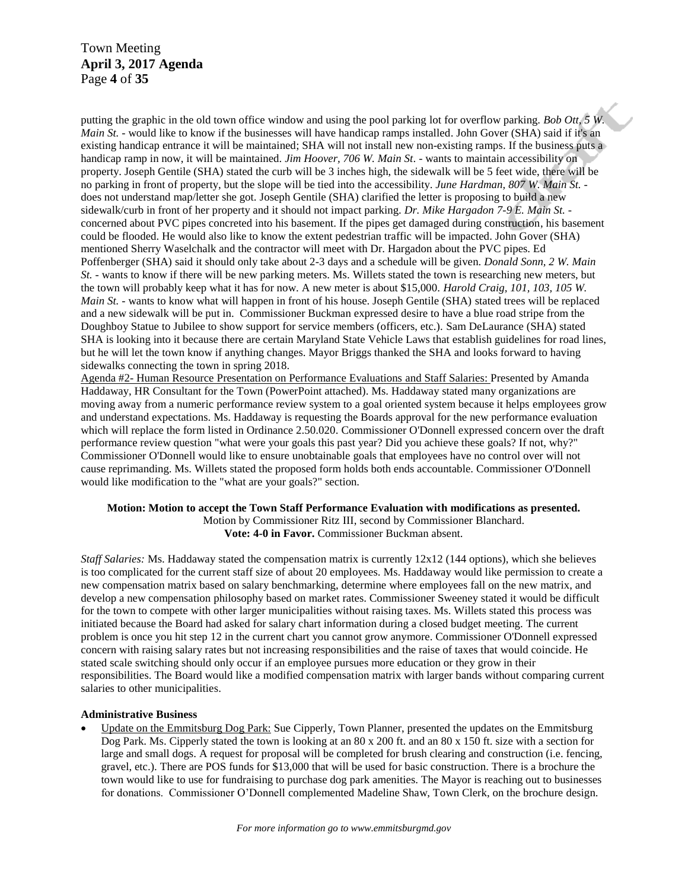Town Meeting **April 3, 2017 Agenda**  Page **4** of **35**

putting the graphic in the old town office window and using the pool parking lot for overflow parking. *Bob Ott, 5 W. Main St.* - would like to know if the businesses will have handicap ramps installed. John Gover (SHA) said if it's an existing handicap entrance it will be maintained; SHA will not install new non-existing ramps. If the business puts a handicap ramp in now, it will be maintained. *Jim Hoover, 706 W. Main St*. - wants to maintain accessibility on property. Joseph Gentile (SHA) stated the curb will be 3 inches high, the sidewalk will be 5 feet wide, there will be no parking in front of property, but the slope will be tied into the accessibility. *June Hardman, 807 W. Main St.* does not understand map/letter she got. Joseph Gentile (SHA) clarified the letter is proposing to build a new sidewalk/curb in front of her property and it should not impact parking. *Dr. Mike Hargadon 7-9 E. Main St.*  concerned about PVC pipes concreted into his basement. If the pipes get damaged during construction, his basement could be flooded. He would also like to know the extent pedestrian traffic will be impacted. John Gover (SHA) mentioned Sherry Waselchalk and the contractor will meet with Dr. Hargadon about the PVC pipes. Ed Poffenberger (SHA) said it should only take about 2-3 days and a schedule will be given. *Donald Sonn, 2 W. Main St.* - wants to know if there will be new parking meters. Ms. Willets stated the town is researching new meters, but the town will probably keep what it has for now. A new meter is about \$15,000. *Harold Craig, 101, 103, 105 W. Main St.* - wants to know what will happen in front of his house. Joseph Gentile (SHA) stated trees will be replaced and a new sidewalk will be put in. Commissioner Buckman expressed desire to have a blue road stripe from the Doughboy Statue to Jubilee to show support for service members (officers, etc.). Sam DeLaurance (SHA) stated SHA is looking into it because there are certain Maryland State Vehicle Laws that establish guidelines for road lines, but he will let the town know if anything changes. Mayor Briggs thanked the SHA and looks forward to having sidewalks connecting the town in spring 2018.

Agenda #2- Human Resource Presentation on Performance Evaluations and Staff Salaries: Presented by Amanda Haddaway, HR Consultant for the Town (PowerPoint attached). Ms. Haddaway stated many organizations are moving away from a numeric performance review system to a goal oriented system because it helps employees grow and understand expectations. Ms. Haddaway is requesting the Boards approval for the new performance evaluation which will replace the form listed in Ordinance 2.50.020. Commissioner O'Donnell expressed concern over the draft performance review question "what were your goals this past year? Did you achieve these goals? If not, why?" Commissioner O'Donnell would like to ensure unobtainable goals that employees have no control over will not cause reprimanding. Ms. Willets stated the proposed form holds both ends accountable. Commissioner O'Donnell would like modification to the "what are your goals?" section.

#### **Motion: Motion to accept the Town Staff Performance Evaluation with modifications as presented.** Motion by Commissioner Ritz III, second by Commissioner Blanchard. **Vote: 4-0 in Favor.** Commissioner Buckman absent.

*Staff Salaries:* Ms. Haddaway stated the compensation matrix is currently 12x12 (144 options), which she believes is too complicated for the current staff size of about 20 employees. Ms. Haddaway would like permission to create a new compensation matrix based on salary benchmarking, determine where employees fall on the new matrix, and develop a new compensation philosophy based on market rates. Commissioner Sweeney stated it would be difficult for the town to compete with other larger municipalities without raising taxes. Ms. Willets stated this process was initiated because the Board had asked for salary chart information during a closed budget meeting. The current problem is once you hit step 12 in the current chart you cannot grow anymore. Commissioner O'Donnell expressed concern with raising salary rates but not increasing responsibilities and the raise of taxes that would coincide. He stated scale switching should only occur if an employee pursues more education or they grow in their responsibilities. The Board would like a modified compensation matrix with larger bands without comparing current salaries to other municipalities.

#### **Administrative Business**

 Update on the Emmitsburg Dog Park: Sue Cipperly, Town Planner, presented the updates on the Emmitsburg Dog Park. Ms. Cipperly stated the town is looking at an 80 x 200 ft. and an 80 x 150 ft. size with a section for large and small dogs. A request for proposal will be completed for brush clearing and construction (i.e. fencing, gravel, etc.). There are POS funds for \$13,000 that will be used for basic construction. There is a brochure the town would like to use for fundraising to purchase dog park amenities. The Mayor is reaching out to businesses for donations. Commissioner O"Donnell complemented Madeline Shaw, Town Clerk, on the brochure design.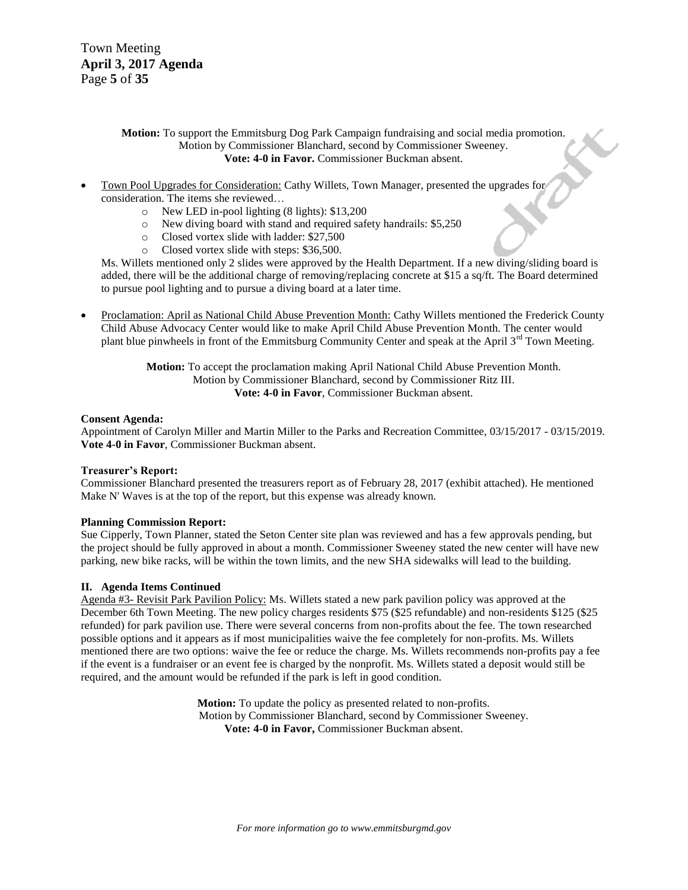Town Meeting **April 3, 2017 Agenda**  Page **5** of **35**

#### **Motion:** To support the Emmitsburg Dog Park Campaign fundraising and social media promotion. Motion by Commissioner Blanchard, second by Commissioner Sweeney. **Vote: 4-0 in Favor.** Commissioner Buckman absent.

- Town Pool Upgrades for Consideration: Cathy Willets, Town Manager, presented the upgrades for consideration. The items she reviewed…
	- o New LED in-pool lighting (8 lights): \$13,200
	- o New diving board with stand and required safety handrails: \$5,250
	- o Closed vortex slide with ladder: \$27,500
	- o Closed vortex slide with steps: \$36,500.

Ms. Willets mentioned only 2 slides were approved by the Health Department. If a new diving/sliding board is added, there will be the additional charge of removing/replacing concrete at \$15 a sq/ft. The Board determined to pursue pool lighting and to pursue a diving board at a later time.

 Proclamation: April as National Child Abuse Prevention Month: Cathy Willets mentioned the Frederick County Child Abuse Advocacy Center would like to make April Child Abuse Prevention Month. The center would plant blue pinwheels in front of the Emmitsburg Community Center and speak at the April 3<sup>rd</sup> Town Meeting.

> **Motion:** To accept the proclamation making April National Child Abuse Prevention Month. Motion by Commissioner Blanchard, second by Commissioner Ritz III. **Vote: 4-0 in Favor**, Commissioner Buckman absent.

#### **Consent Agenda:**

Appointment of Carolyn Miller and Martin Miller to the Parks and Recreation Committee, 03/15/2017 - 03/15/2019. **Vote 4-0 in Favor**, Commissioner Buckman absent.

#### **Treasurer's Report:**

Commissioner Blanchard presented the treasurers report as of February 28, 2017 (exhibit attached). He mentioned Make N' Waves is at the top of the report, but this expense was already known.

#### **Planning Commission Report:**

Sue Cipperly, Town Planner, stated the Seton Center site plan was reviewed and has a few approvals pending, but the project should be fully approved in about a month. Commissioner Sweeney stated the new center will have new parking, new bike racks, will be within the town limits, and the new SHA sidewalks will lead to the building.

#### **II. Agenda Items Continued**

Agenda #3- Revisit Park Pavilion Policy: Ms. Willets stated a new park pavilion policy was approved at the December 6th Town Meeting. The new policy charges residents \$75 (\$25 refundable) and non-residents \$125 (\$25 refunded) for park pavilion use. There were several concerns from non-profits about the fee. The town researched possible options and it appears as if most municipalities waive the fee completely for non-profits. Ms. Willets mentioned there are two options: waive the fee or reduce the charge. Ms. Willets recommends non-profits pay a fee if the event is a fundraiser or an event fee is charged by the nonprofit. Ms. Willets stated a deposit would still be required, and the amount would be refunded if the park is left in good condition.

> **Motion:** To update the policy as presented related to non-profits. Motion by Commissioner Blanchard, second by Commissioner Sweeney. **Vote: 4-0 in Favor,** Commissioner Buckman absent.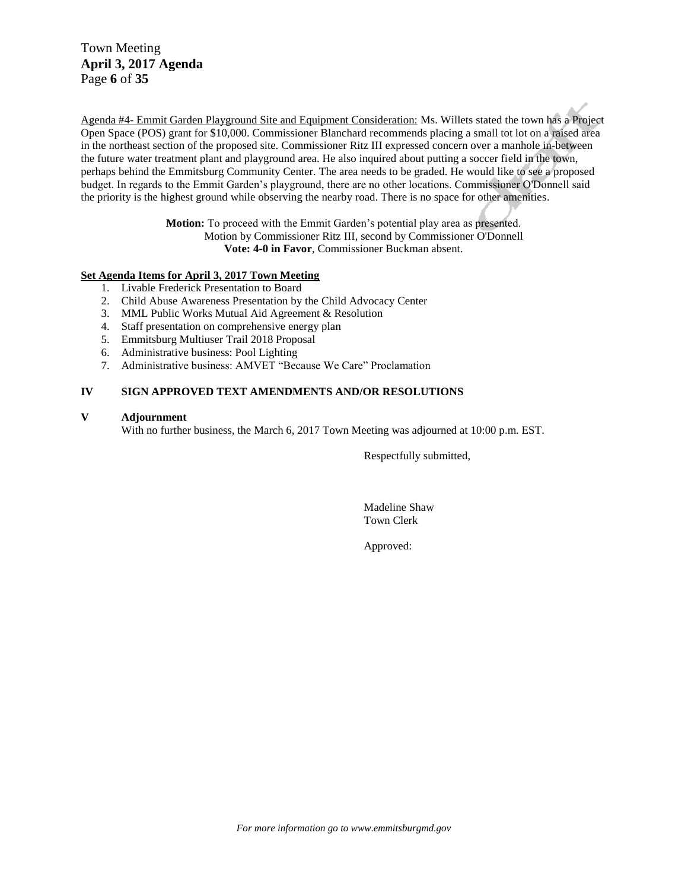Town Meeting **April 3, 2017 Agenda**  Page **6** of **35**

Agenda #4- Emmit Garden Playground Site and Equipment Consideration: Ms. Willets stated the town has a Project Open Space (POS) grant for \$10,000. Commissioner Blanchard recommends placing a small tot lot on a raised area in the northeast section of the proposed site. Commissioner Ritz III expressed concern over a manhole in-between the future water treatment plant and playground area. He also inquired about putting a soccer field in the town, perhaps behind the Emmitsburg Community Center. The area needs to be graded. He would like to see a proposed budget. In regards to the Emmit Garden"s playground, there are no other locations. Commissioner O'Donnell said the priority is the highest ground while observing the nearby road. There is no space for other amenities.

> **Motion:** To proceed with the Emmit Garden"s potential play area as presented. Motion by Commissioner Ritz III, second by Commissioner O'Donnell **Vote: 4-0 in Favor**, Commissioner Buckman absent.

#### **Set Agenda Items for April 3, 2017 Town Meeting**

- 1. Livable Frederick Presentation to Board
- 2. Child Abuse Awareness Presentation by the Child Advocacy Center
- 3. MML Public Works Mutual Aid Agreement & Resolution
- 4. Staff presentation on comprehensive energy plan
- 5. Emmitsburg Multiuser Trail 2018 Proposal
- 6. Administrative business: Pool Lighting
- 7. Administrative business: AMVET "Because We Care" Proclamation

#### **IV SIGN APPROVED TEXT AMENDMENTS AND/OR RESOLUTIONS**

#### **V Adjournment**

With no further business, the March 6, 2017 Town Meeting was adjourned at 10:00 p.m. EST.

Respectfully submitted,

Madeline Shaw Town Clerk

Approved: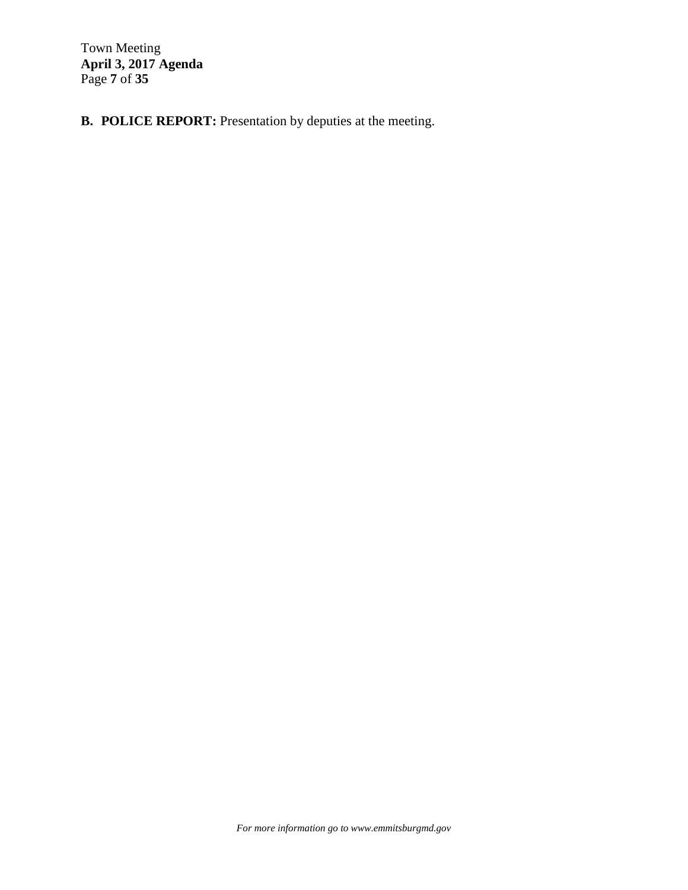Town Meeting **April 3, 2017 Agenda**  Page **7** of **35**

**B. POLICE REPORT:** Presentation by deputies at the meeting.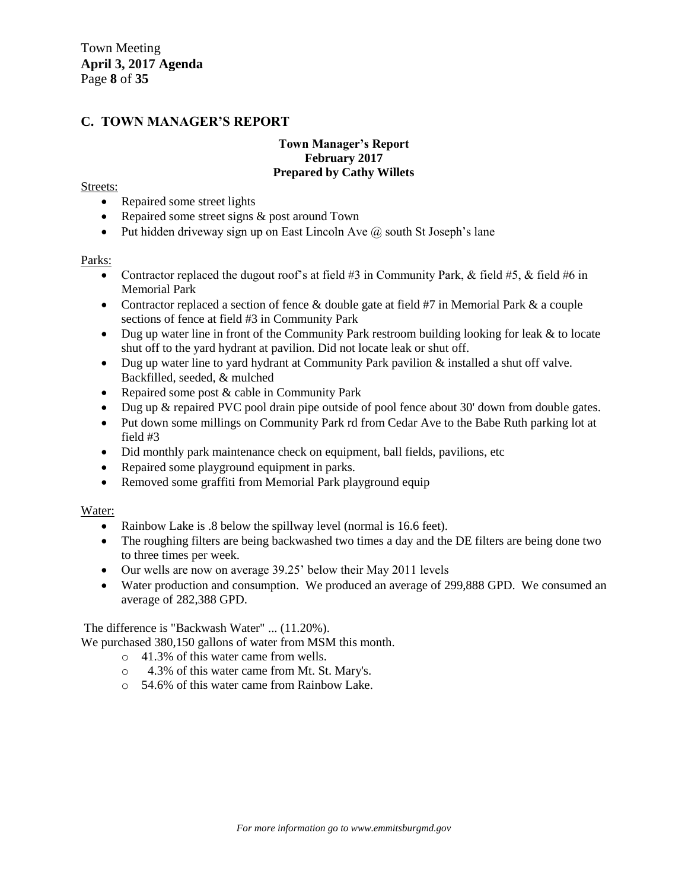#### **C. TOWN MANAGER'S REPORT**

#### **Town Manager's Report February 2017 Prepared by Cathy Willets**

#### Streets:

- Repaired some street lights
- Repaired some street signs & post around Town
- Put hidden driveway sign up on East Lincoln Ave  $\omega$  south St Joseph's lane

#### Parks:

- Contractor replaced the dugout roof's at field  $#3$  in Community Park, & field  $#5$ , & field  $#6$  in Memorial Park
- Contractor replaced a section of fence  $\&$  double gate at field #7 in Memorial Park  $\&$  a couple sections of fence at field #3 in Community Park
- $\bullet$  Dug up water line in front of the Community Park restroom building looking for leak & to locate shut off to the yard hydrant at pavilion. Did not locate leak or shut off.
- Dug up water line to yard hydrant at Community Park pavilion & installed a shut off valve. Backfilled, seeded, & mulched
- Repaired some post & cable in Community Park
- Dug up & repaired PVC pool drain pipe outside of pool fence about 30' down from double gates.
- Put down some millings on Community Park rd from Cedar Ave to the Babe Ruth parking lot at field #3
- Did monthly park maintenance check on equipment, ball fields, pavilions, etc
- Repaired some playground equipment in parks.
- Removed some graffiti from Memorial Park playground equip

#### Water:

- Rainbow Lake is .8 below the spillway level (normal is 16.6 feet).
- The roughing filters are being backwashed two times a day and the DE filters are being done two to three times per week.
- Our wells are now on average 39.25" below their May 2011 levels
- Water production and consumption. We produced an average of 299,888 GPD. We consumed an average of 282,388 GPD.

The difference is "Backwash Water" ... (11.20%).

We purchased 380,150 gallons of water from MSM this month.

- o 41.3% of this water came from wells.
- o 4.3% of this water came from Mt. St. Mary's.
- o 54.6% of this water came from Rainbow Lake.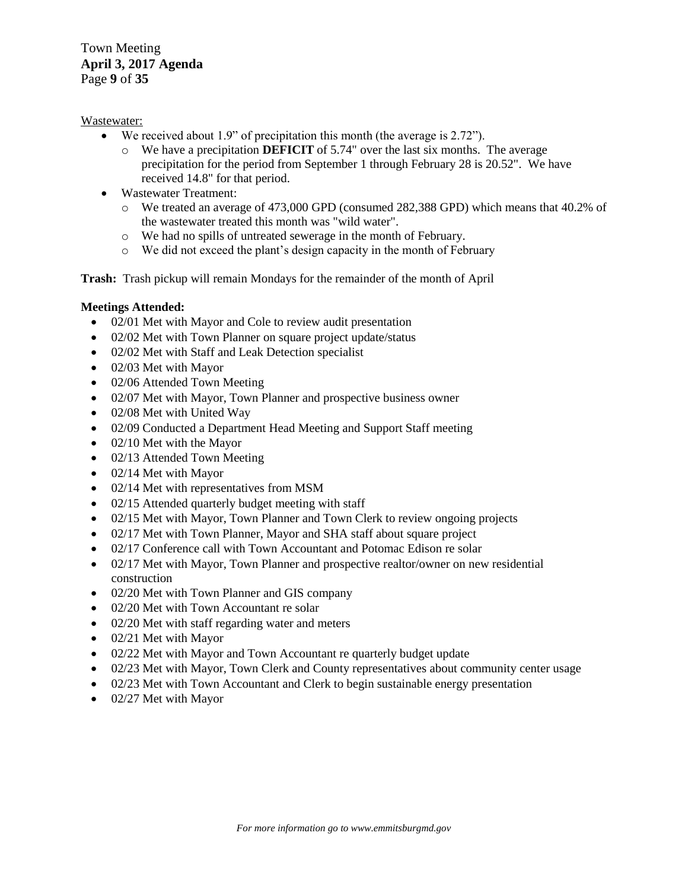Town Meeting **April 3, 2017 Agenda**  Page **9** of **35**

#### Wastewater:

- We received about 1.9" of precipitation this month (the average is 2.72").
	- o We have a precipitation **DEFICIT** of 5.74" over the last six months. The average precipitation for the period from September 1 through February 28 is 20.52". We have received 14.8" for that period.
- Wastewater Treatment:
	- o We treated an average of 473,000 GPD (consumed 282,388 GPD) which means that 40.2% of the wastewater treated this month was "wild water".
	- o We had no spills of untreated sewerage in the month of February.
	- o We did not exceed the plant"s design capacity in the month of February

**Trash:** Trash pickup will remain Mondays for the remainder of the month of April

#### **Meetings Attended:**

- 02/01 Met with Mayor and Cole to review audit presentation
- 02/02 Met with Town Planner on square project update/status
- 02/02 Met with Staff and Leak Detection specialist
- 02/03 Met with Mayor
- 02/06 Attended Town Meeting
- 02/07 Met with Mayor, Town Planner and prospective business owner
- 02/08 Met with United Way
- 02/09 Conducted a Department Head Meeting and Support Staff meeting
- $\bullet$  02/10 Met with the Mayor
- 02/13 Attended Town Meeting
- 02/14 Met with Mayor
- 02/14 Met with representatives from MSM
- 02/15 Attended quarterly budget meeting with staff
- 02/15 Met with Mayor, Town Planner and Town Clerk to review ongoing projects
- 02/17 Met with Town Planner, Mayor and SHA staff about square project
- 02/17 Conference call with Town Accountant and Potomac Edison re solar
- 02/17 Met with Mayor, Town Planner and prospective realtor/owner on new residential construction
- 02/20 Met with Town Planner and GIS company
- 02/20 Met with Town Accountant re solar
- 02/20 Met with staff regarding water and meters
- 02/21 Met with Mayor
- 02/22 Met with Mayor and Town Accountant re quarterly budget update
- 02/23 Met with Mayor, Town Clerk and County representatives about community center usage
- 02/23 Met with Town Accountant and Clerk to begin sustainable energy presentation
- 02/27 Met with Mayor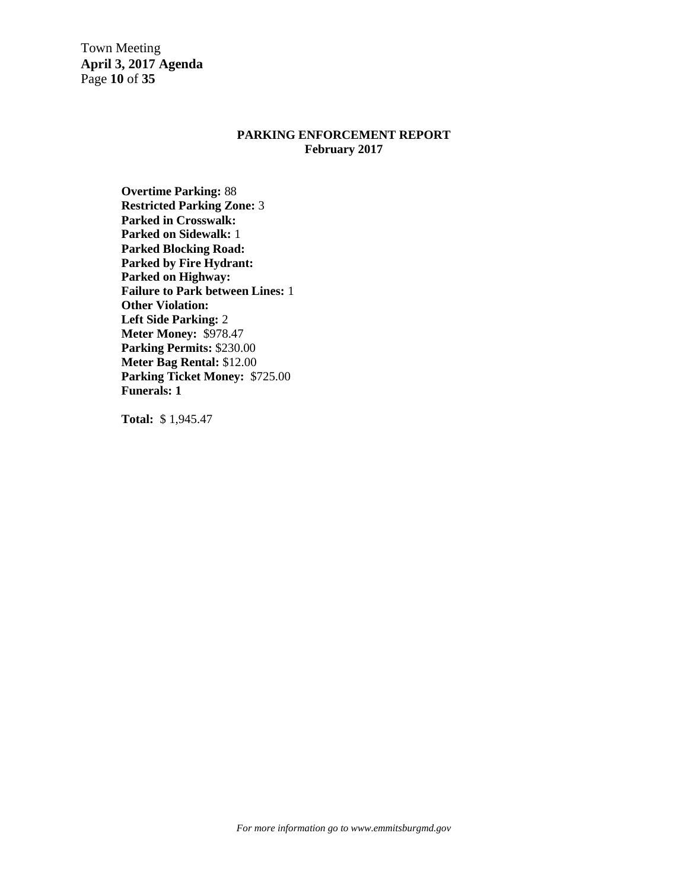Town Meeting **April 3, 2017 Agenda**  Page **10** of **35**

#### **PARKING ENFORCEMENT REPORT February 2017**

**Overtime Parking:** 88 **Restricted Parking Zone:** 3 **Parked in Crosswalk: Parked on Sidewalk:** 1 **Parked Blocking Road: Parked by Fire Hydrant: Parked on Highway: Failure to Park between Lines:** 1 **Other Violation: Left Side Parking:** 2 **Meter Money:** \$978.47 **Parking Permits:** \$230.00 **Meter Bag Rental:** \$12.00 **Parking Ticket Money:** \$725.00 **Funerals: 1**

**Total:** \$ 1,945.47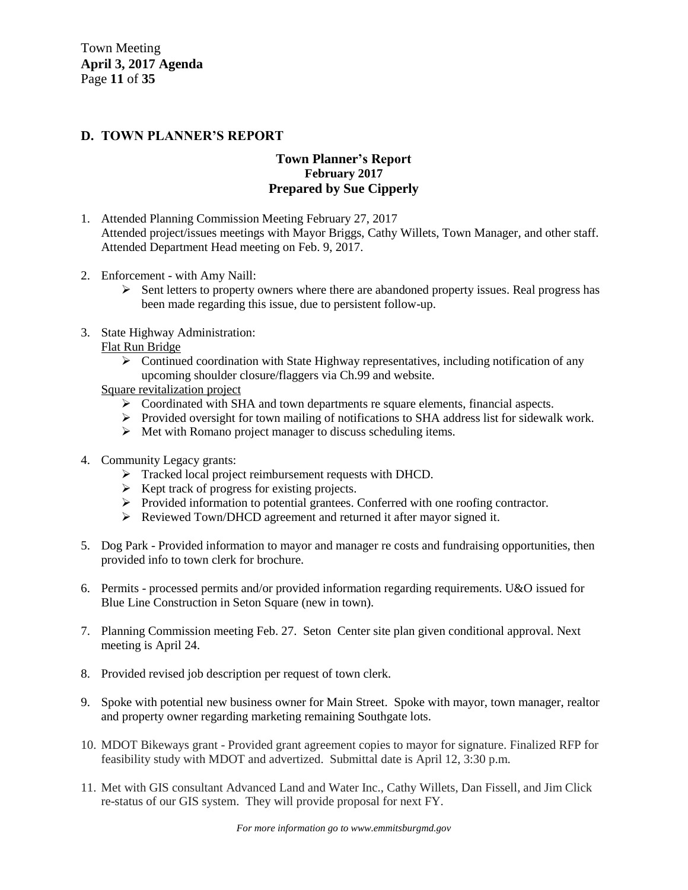Town Meeting **April 3, 2017 Agenda**  Page **11** of **35**

#### **D. TOWN PLANNER'S REPORT**

### **Town Planner's Report February 2017 Prepared by Sue Cipperly**

- 1. Attended Planning Commission Meeting February 27, 2017 Attended project/issues meetings with Mayor Briggs, Cathy Willets, Town Manager, and other staff. Attended Department Head meeting on Feb. 9, 2017.
- 2. Enforcement with Amy Naill:
	- $\triangleright$  Sent letters to property owners where there are abandoned property issues. Real progress has been made regarding this issue, due to persistent follow-up.
- 3. State Highway Administration:
	- Flat Run Bridge
		- $\triangleright$  Continued coordination with State Highway representatives, including notification of any upcoming shoulder closure/flaggers via Ch.99 and website.
	- Square revitalization project
		- Coordinated with SHA and town departments re square elements, financial aspects.
		- Provided oversight for town mailing of notifications to SHA address list for sidewalk work.
		- $\triangleright$  Met with Romano project manager to discuss scheduling items.
- 4. Community Legacy grants:
	- Tracked local project reimbursement requests with DHCD.
	- $\triangleright$  Kept track of progress for existing projects.
	- Provided information to potential grantees. Conferred with one roofing contractor.
	- Reviewed Town/DHCD agreement and returned it after mayor signed it.
- 5. Dog Park Provided information to mayor and manager re costs and fundraising opportunities, then provided info to town clerk for brochure.
- 6. Permits processed permits and/or provided information regarding requirements. U&O issued for Blue Line Construction in Seton Square (new in town).
- 7. Planning Commission meeting Feb. 27. Seton Center site plan given conditional approval. Next meeting is April 24.
- 8. Provided revised job description per request of town clerk.
- 9. Spoke with potential new business owner for Main Street. Spoke with mayor, town manager, realtor and property owner regarding marketing remaining Southgate lots.
- 10. MDOT Bikeways grant Provided grant agreement copies to mayor for signature. Finalized RFP for feasibility study with MDOT and advertized. Submittal date is April 12, 3:30 p.m.
- 11. Met with GIS consultant Advanced Land and Water Inc., Cathy Willets, Dan Fissell, and Jim Click re-status of our GIS system. They will provide proposal for next FY.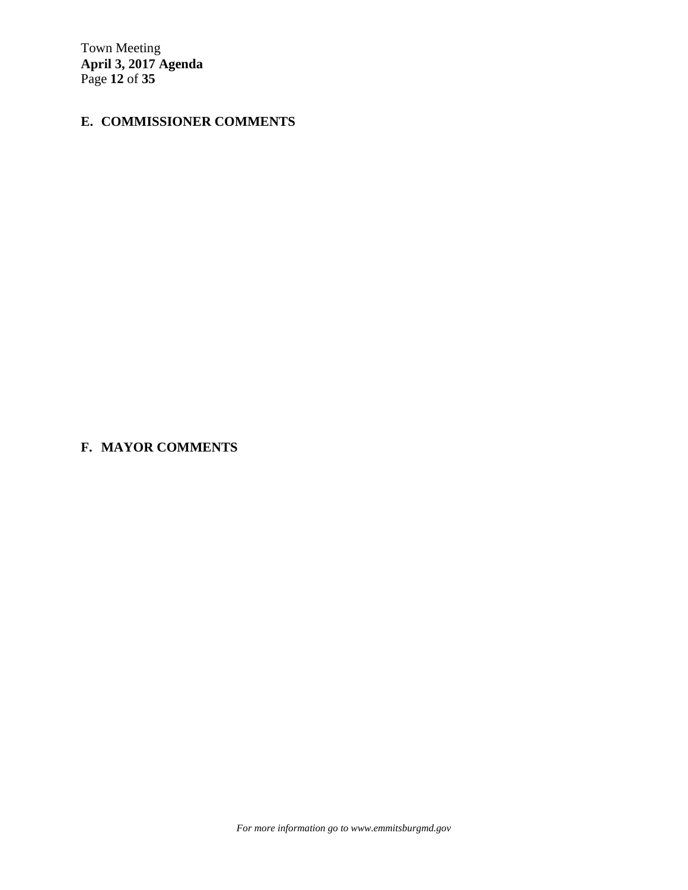Town Meeting **April 3, 2017 Agenda**  Page **12** of **35**

# **E. COMMISSIONER COMMENTS**

**F. MAYOR COMMENTS** 

*For more information go to www.emmitsburgmd.gov*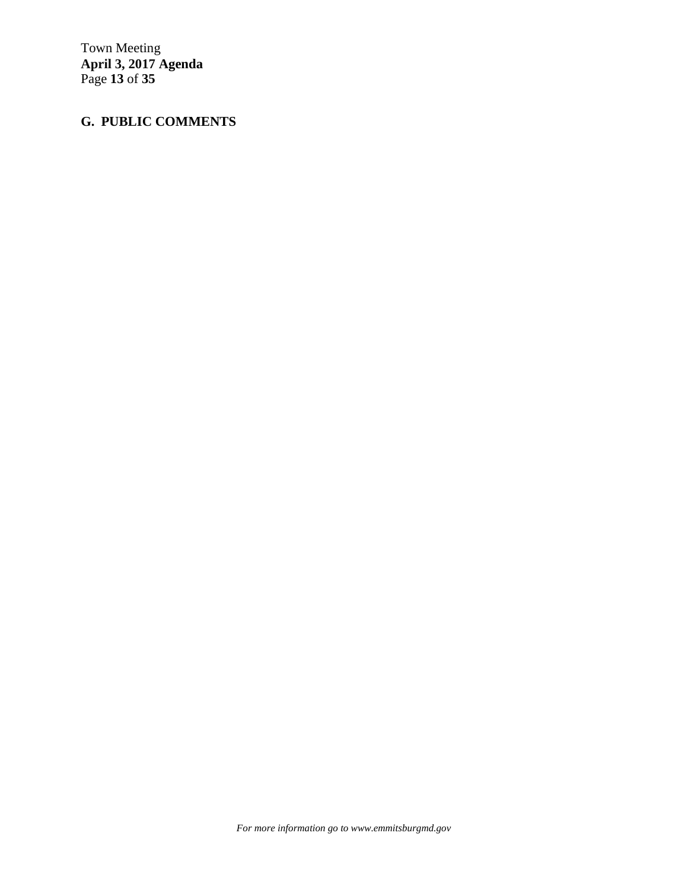Town Meeting **April 3, 2017 Agenda**  Page **13** of **35**

# **G. PUBLIC COMMENTS**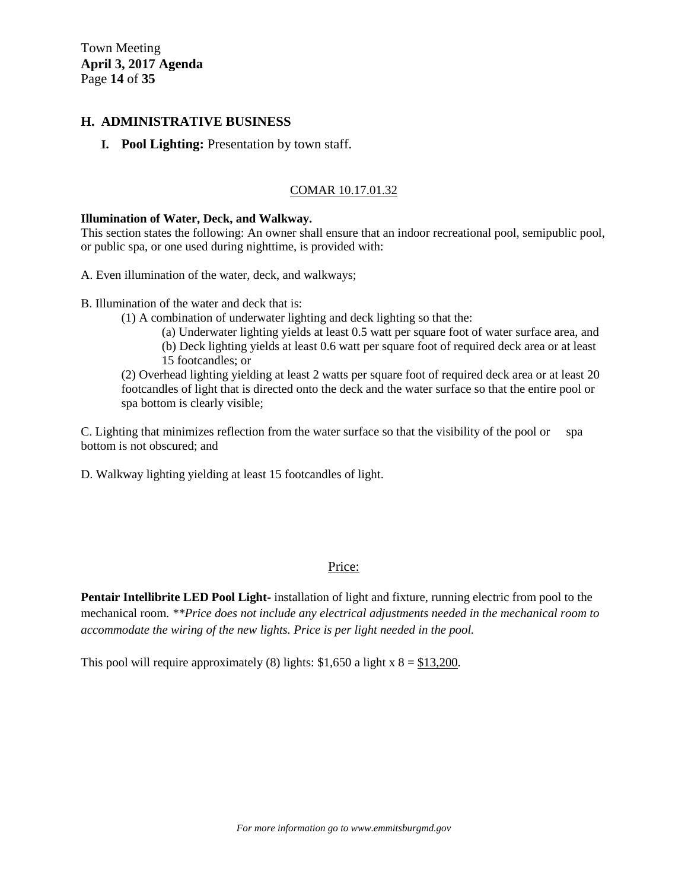Town Meeting **April 3, 2017 Agenda**  Page **14** of **35**

#### **H. ADMINISTRATIVE BUSINESS**

**I. Pool Lighting:** Presentation by town staff.

#### COMAR 10.17.01.32

#### **Illumination of Water, Deck, and Walkway.**

This section states the following: An owner shall ensure that an indoor recreational pool, semipublic pool, or public spa, or one used during nighttime, is provided with:

A. Even illumination of the water, deck, and walkways;

- B. Illumination of the water and deck that is:
	- (1) A combination of underwater lighting and deck lighting so that the:
		- (a) Underwater lighting yields at least 0.5 watt per square foot of water surface area, and
		- (b) Deck lighting yields at least 0.6 watt per square foot of required deck area or at least 15 footcandles; or

(2) Overhead lighting yielding at least 2 watts per square foot of required deck area or at least 20 footcandles of light that is directed onto the deck and the water surface so that the entire pool or spa bottom is clearly visible;

C. Lighting that minimizes reflection from the water surface so that the visibility of the pool or spa bottom is not obscured; and

D. Walkway lighting yielding at least 15 footcandles of light.

#### Price:

**Pentair Intellibrite LED Pool Light-** installation of light and fixture, running electric from pool to the mechanical room. *\*\*Price does not include any electrical adjustments needed in the mechanical room to accommodate the wiring of the new lights. Price is per light needed in the pool.* 

This pool will require approximately (8) lights:  $$1,650$  a light x  $8 = $13,200$ .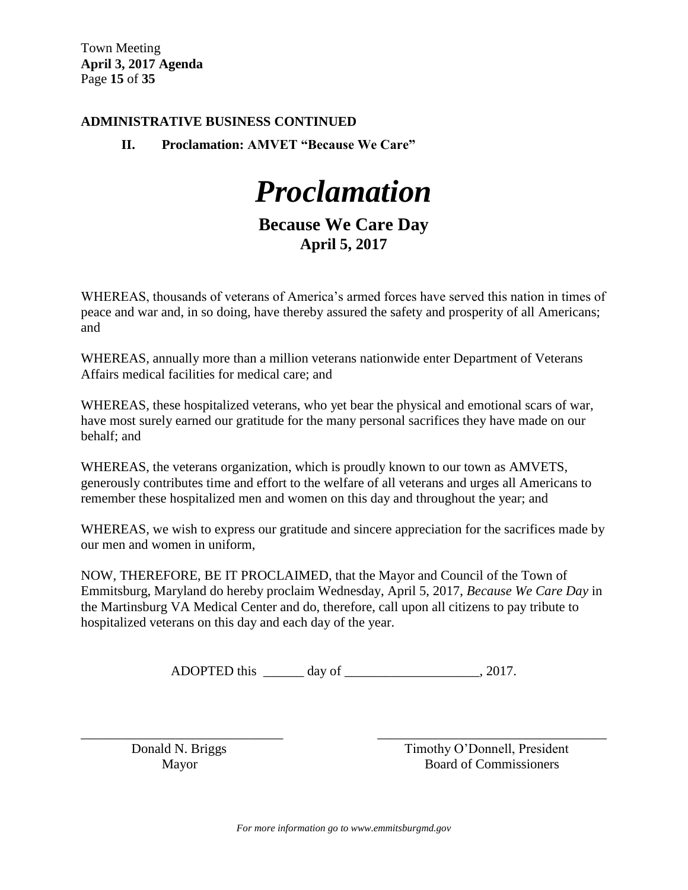Town Meeting **April 3, 2017 Agenda**  Page **15** of **35**

### **ADMINISTRATIVE BUSINESS CONTINUED**

**II. Proclamation: AMVET "Because We Care"**

*Proclamation*

# **Because We Care Day April 5, 2017**

WHEREAS, thousands of veterans of America"s armed forces have served this nation in times of peace and war and, in so doing, have thereby assured the safety and prosperity of all Americans; and

WHEREAS, annually more than a million veterans nationwide enter Department of Veterans Affairs medical facilities for medical care; and

WHEREAS, these hospitalized veterans, who yet bear the physical and emotional scars of war, have most surely earned our gratitude for the many personal sacrifices they have made on our behalf; and

WHEREAS, the veterans organization, which is proudly known to our town as AMVETS, generously contributes time and effort to the welfare of all veterans and urges all Americans to remember these hospitalized men and women on this day and throughout the year; and

WHEREAS, we wish to express our gratitude and sincere appreciation for the sacrifices made by our men and women in uniform,

NOW, THEREFORE, BE IT PROCLAIMED, that the Mayor and Council of the Town of Emmitsburg, Maryland do hereby proclaim Wednesday, April 5, 2017, *Because We Care Day* in the Martinsburg VA Medical Center and do, therefore, call upon all citizens to pay tribute to hospitalized veterans on this day and each day of the year.

ADOPTED this \_\_\_\_\_\_\_ day of \_\_\_\_\_\_\_\_\_\_\_\_\_\_\_\_\_\_\_\_\_, 2017.

\_\_\_\_\_\_\_\_\_\_\_\_\_\_\_\_\_\_\_\_\_\_\_\_\_\_\_\_\_\_ \_\_\_\_\_\_\_\_\_\_\_\_\_\_\_\_\_\_\_\_\_\_\_\_\_\_\_\_\_\_\_\_\_\_

Donald N. Briggs Timothy O'Donnell, President Mayor Board of Commissioners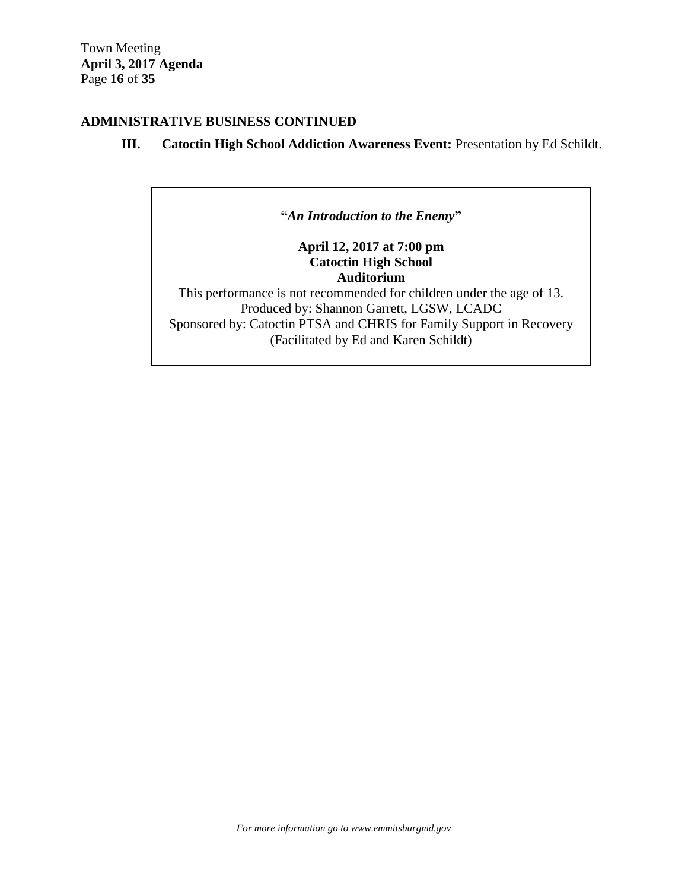## **ADMINISTRATIVE BUSINESS CONTINUED**

### **III. Catoctin High School Addiction Awareness Event:** Presentation by Ed Schildt.

**"***An Introduction to the Enemy***"**

**April 12, 2017 at 7:00 pm Catoctin High School Auditorium**

This performance is not recommended for children under the age of 13. Produced by: Shannon Garrett, LGSW, LCADC Sponsored by: Catoctin PTSA and CHRIS for Family Support in Recovery (Facilitated by Ed and Karen Schildt)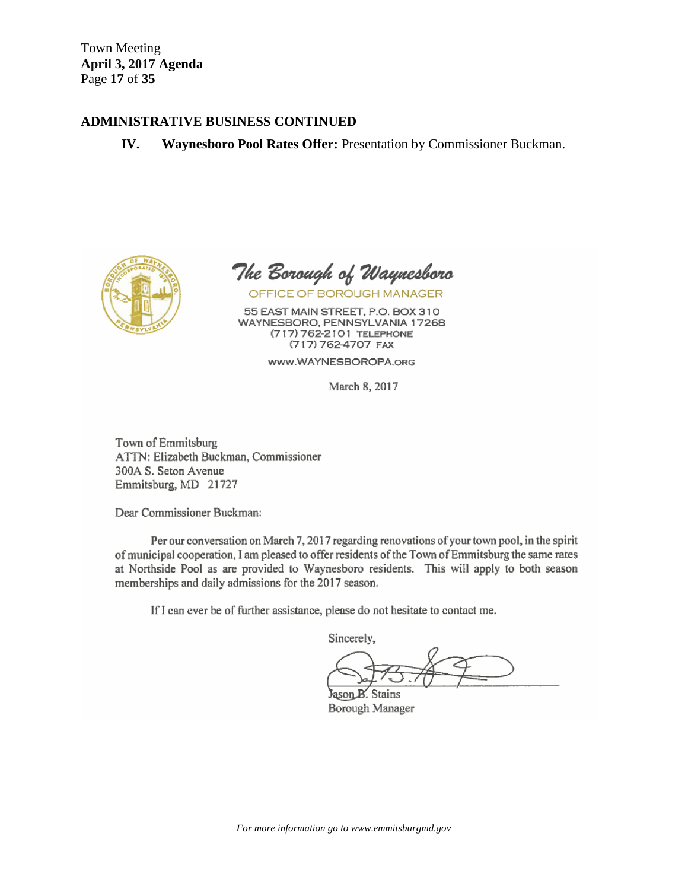Town Meeting **April 3, 2017 Agenda**  Page **17** of **35**

#### **ADMINISTRATIVE BUSINESS CONTINUED**

**IV. Waynesboro Pool Rates Offer:** Presentation by Commissioner Buckman.



The Borough of Waynesboro OFFICE OF BOROUGH MANAGER

55 EAST MAIN STREET, P.O. BOX 310 WAYNESBORO, PENNSYLVANIA 17268 (717) 762-2101 TELEPHONE (717) 762-4707 FAX

www.WAYNESBOROPA.org

March 8, 2017

Town of Emmitsburg ATTN: Elizabeth Buckman, Commissioner 300A S. Seton Avenue Emmitsburg, MD 21727

Dear Commissioner Buckman:

Per our conversation on March 7, 2017 regarding renovations of your town pool, in the spirit of municipal cooperation, I am pleased to offer residents of the Town of Emmitsburg the same rates at Northside Pool as are provided to Waynesboro residents. This will apply to both season memberships and daily admissions for the 2017 season.

If I can ever be of further assistance, please do not hesitate to contact me.

Sincerely,

Jason B. Stains Borough Manager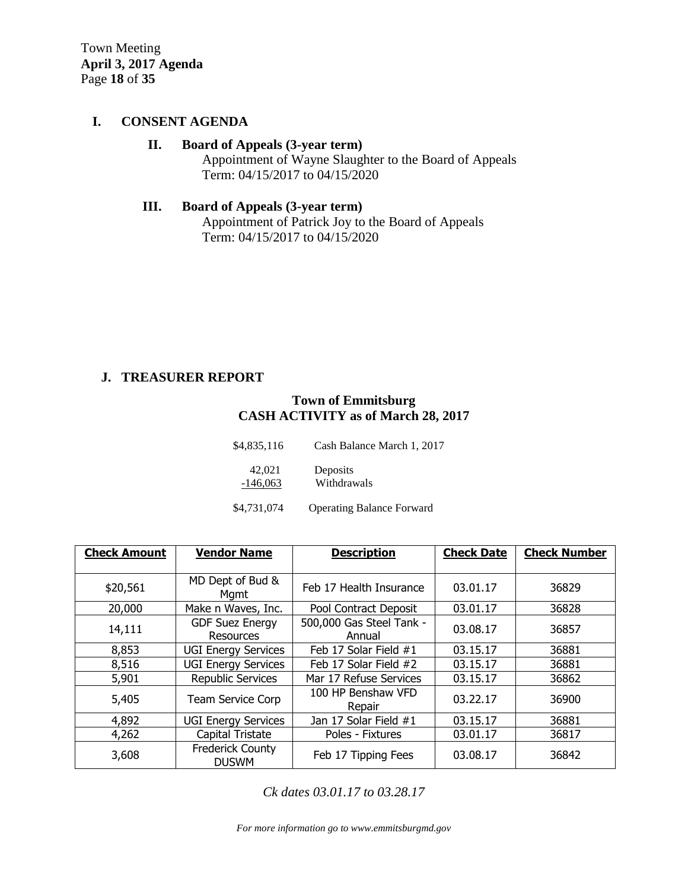Town Meeting **April 3, 2017 Agenda**  Page **18** of **35**

#### **I. CONSENT AGENDA**

# **II. Board of Appeals (3-year term)**

Appointment of Wayne Slaughter to the Board of Appeals Term: 04/15/2017 to 04/15/2020

# **III. Board of Appeals (3-year term)** Appointment of Patrick Joy to the Board of Appeals Term: 04/15/2017 to 04/15/2020

### **J. TREASURER REPORT**

#### **Town of Emmitsburg CASH ACTIVITY as of March 28, 2017**

| \$4,835,116          | Cash Balance March 1, 2017       |  |  |  |
|----------------------|----------------------------------|--|--|--|
| 42,021<br>$-146,063$ | Deposits<br>Withdrawals          |  |  |  |
| \$4,731,074          | <b>Operating Balance Forward</b> |  |  |  |

| <b>Check Amount</b> | <b>Vendor Name</b>                      | <b>Description</b>                 | <b>Check Date</b> | <b>Check Number</b> |
|---------------------|-----------------------------------------|------------------------------------|-------------------|---------------------|
|                     |                                         |                                    |                   |                     |
| \$20,561            | MD Dept of Bud &<br>Mgmt                | Feb 17 Health Insurance            | 03.01.17          | 36829               |
| 20,000              | Make n Waves, Inc.                      | Pool Contract Deposit              | 03.01.17          | 36828               |
| 14,111              | <b>GDF Suez Energy</b><br>Resources     | 500,000 Gas Steel Tank -<br>Annual | 03.08.17          | 36857               |
| 8,853               | <b>UGI Energy Services</b>              | Feb 17 Solar Field #1              | 03.15.17          | 36881               |
| 8,516               | <b>UGI Energy Services</b>              | Feb 17 Solar Field #2              | 03.15.17          | 36881               |
| 5,901               | <b>Republic Services</b>                | Mar 17 Refuse Services             | 03.15.17          | 36862               |
| 5,405               | <b>Team Service Corp</b>                | 100 HP Benshaw VFD<br>Repair       | 03.22.17          | 36900               |
| 4,892               | <b>UGI Energy Services</b>              | Jan 17 Solar Field #1              | 03.15.17          | 36881               |
| 4,262               | Capital Tristate                        | Poles - Fixtures                   | 03.01.17          | 36817               |
| 3,608               | <b>Frederick County</b><br><b>DUSWM</b> | Feb 17 Tipping Fees                | 03.08.17          | 36842               |

*Ck dates 03.01.17 to 03.28.17*

*For more information go to www.emmitsburgmd.gov*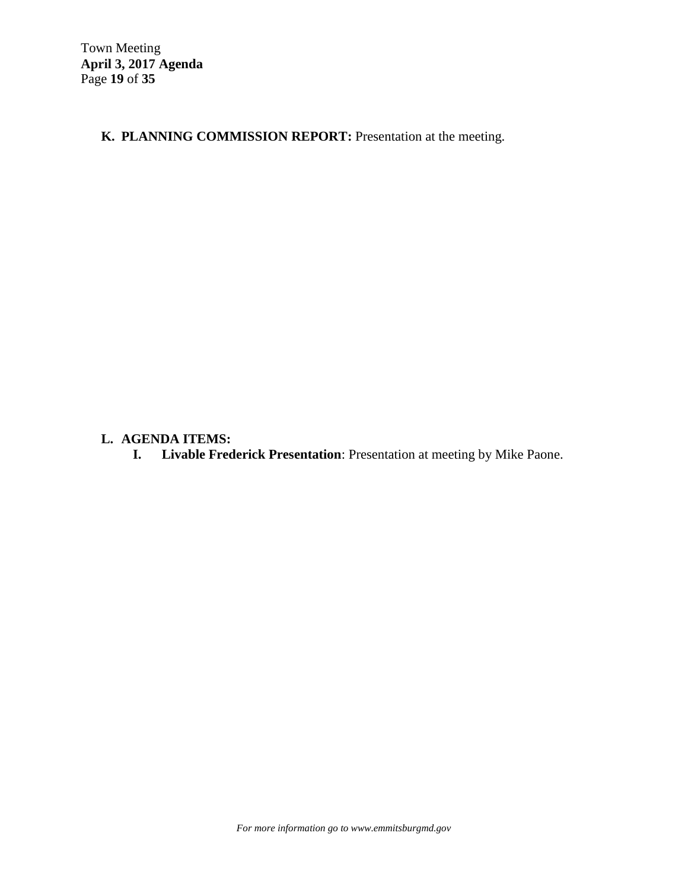**K. PLANNING COMMISSION REPORT:** Presentation at the meeting.

# **L. AGENDA ITEMS:**

**I. Livable Frederick Presentation**: Presentation at meeting by Mike Paone.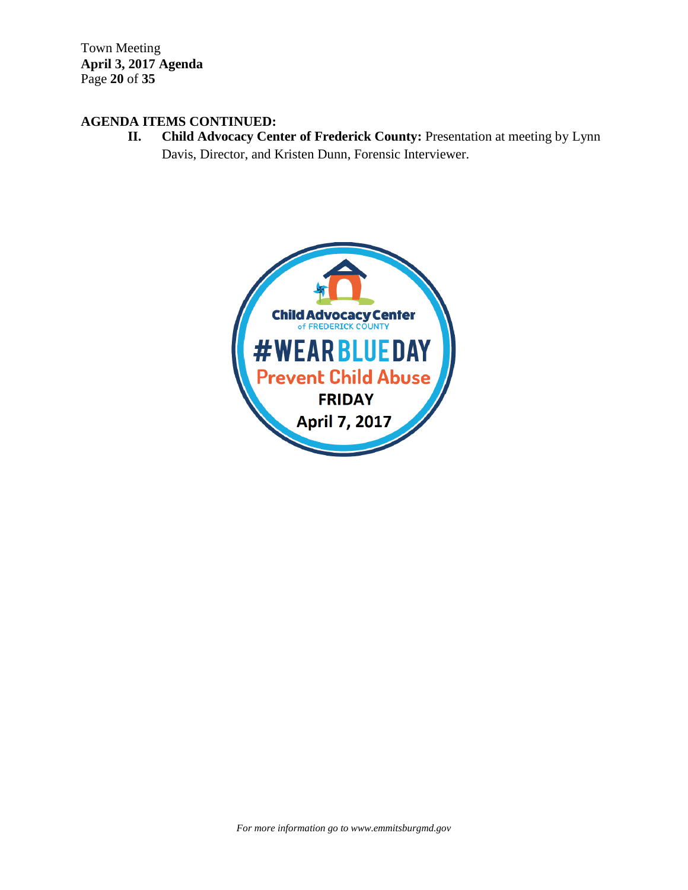Town Meeting **April 3, 2017 Agenda**  Page **20** of **35**

# **AGENDA ITEMS CONTINUED:**

**II. Child Advocacy Center of Frederick County:** Presentation at meeting by Lynn Davis, Director, and Kristen Dunn, Forensic Interviewer.

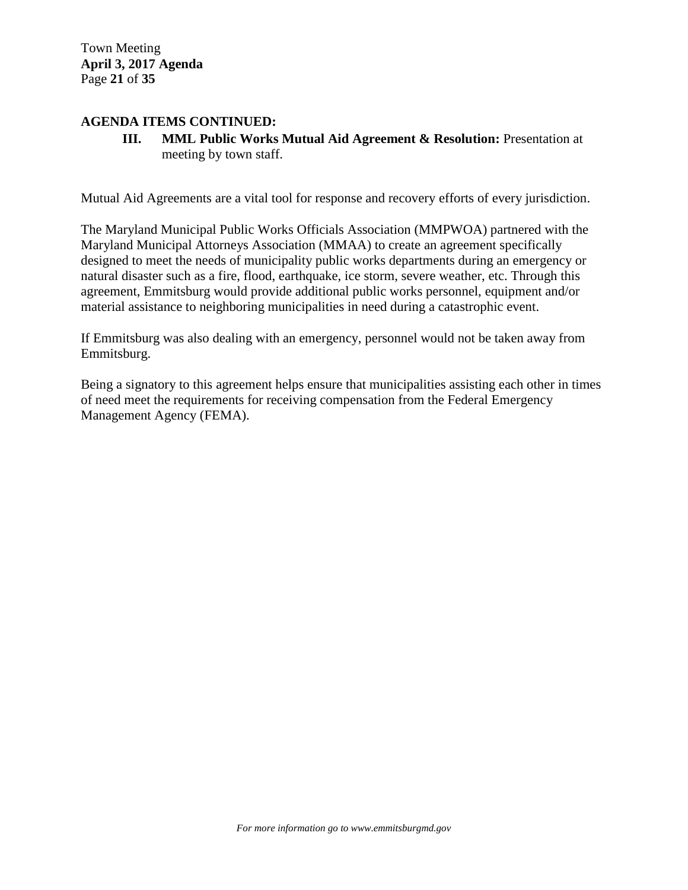Town Meeting **April 3, 2017 Agenda**  Page **21** of **35**

#### **AGENDA ITEMS CONTINUED:**

**III. MML Public Works Mutual Aid Agreement & Resolution:** Presentation at meeting by town staff.

Mutual Aid Agreements are a vital tool for response and recovery efforts of every jurisdiction.

The Maryland Municipal Public Works Officials Association (MMPWOA) partnered with the Maryland Municipal Attorneys Association (MMAA) to create an agreement specifically designed to meet the needs of municipality public works departments during an emergency or natural disaster such as a fire, flood, earthquake, ice storm, severe weather, etc. Through this agreement, Emmitsburg would provide additional public works personnel, equipment and/or material assistance to neighboring municipalities in need during a catastrophic event.

If Emmitsburg was also dealing with an emergency, personnel would not be taken away from Emmitsburg.

Being a signatory to this agreement helps ensure that municipalities assisting each other in times of need meet the requirements for receiving compensation from the Federal Emergency Management Agency (FEMA).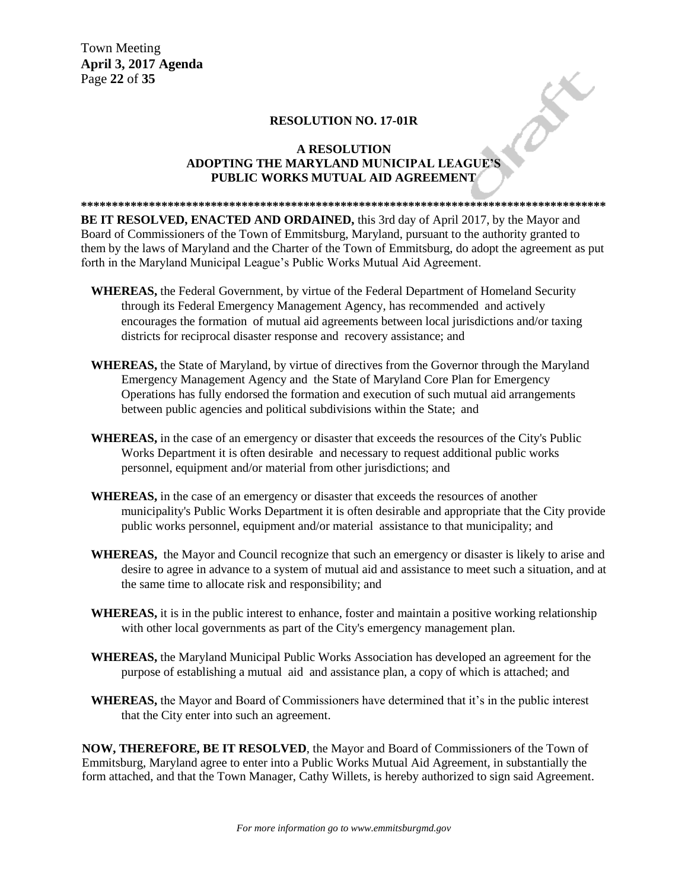Town Meeting **April 3, 2017 Agenda**  Page **22** of **35**

#### **RESOLUTION NO. 17-01R**

# **A RESOLUTION** RESOLUTION NO. 17-01R<br>
A RESOLUTION<br>
ADOPTING THE MARYLAND MUNICIPAL LEAGUE'S **PUBLIC WORKS MUTUAL AID AGREEMENT**

**\*\*\*\*\*\*\*\*\*\*\*\*\*\*\*\*\*\*\*\*\*\*\*\*\*\*\*\*\*\*\*\*\*\*\*\*\*\*\*\*\*\*\*\*\*\*\*\*\*\*\*\*\*\*\*\*\*\*\*\*\*\*\*\*\*\*\*\*\*\*\*\*\*\*\*\*\*\*\*\*\*\*\*\*\* BE IT RESOLVED, ENACTED AND ORDAINED,** this 3rd day of April 2017, by the Mayor and Board of Commissioners of the Town of Emmitsburg, Maryland, pursuant to the authority granted to them by the laws of Maryland and the Charter of the Town of Emmitsburg, do adopt the agreement as put forth in the Maryland Municipal League"s Public Works Mutual Aid Agreement.

- **WHEREAS,** the Federal Government, by virtue of the Federal Department of Homeland Security through its Federal Emergency Management Agency, has recommended and actively encourages the formation of mutual aid agreements between local jurisdictions and/or taxing districts for reciprocal disaster response and recovery assistance; and
- **WHEREAS,** the State of Maryland, by virtue of directives from the Governor through the Maryland Emergency Management Agency and the State of Maryland Core Plan for Emergency Operations has fully endorsed the formation and execution of such mutual aid arrangements between public agencies and political subdivisions within the State; and
- **WHEREAS,** in the case of an emergency or disaster that exceeds the resources of the City's Public Works Department it is often desirable and necessary to request additional public works personnel, equipment and/or material from other jurisdictions; and
- **WHEREAS,** in the case of an emergency or disaster that exceeds the resources of another municipality's Public Works Department it is often desirable and appropriate that the City provide public works personnel, equipment and/or material assistance to that municipality; and
- **WHEREAS,** the Mayor and Council recognize that such an emergency or disaster is likely to arise and desire to agree in advance to a system of mutual aid and assistance to meet such a situation, and at the same time to allocate risk and responsibility; and
- **WHEREAS,** it is in the public interest to enhance, foster and maintain a positive working relationship with other local governments as part of the City's emergency management plan.
- **WHEREAS,** the Maryland Municipal Public Works Association has developed an agreement for the purpose of establishing a mutual aid and assistance plan, a copy of which is attached; and
- **WHEREAS,** the Mayor and Board of Commissioners have determined that it"s in the public interest that the City enter into such an agreement.

**NOW, THEREFORE, BE IT RESOLVED**, the Mayor and Board of Commissioners of the Town of Emmitsburg, Maryland agree to enter into a Public Works Mutual Aid Agreement, in substantially the form attached, and that the Town Manager, Cathy Willets, is hereby authorized to sign said Agreement.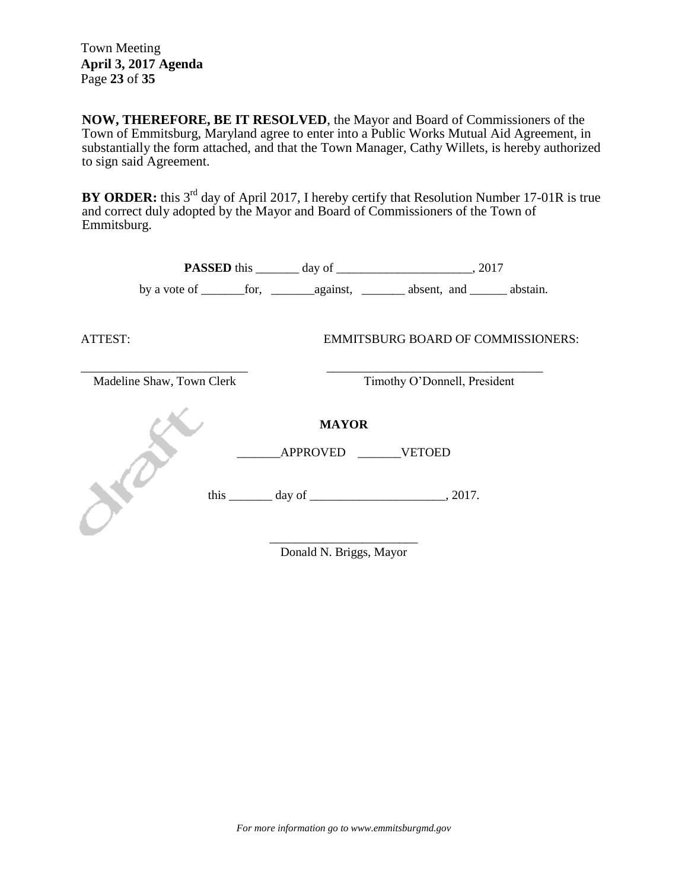Town Meeting **April 3, 2017 Agenda**  Page **23** of **35**

**NOW, THEREFORE, BE IT RESOLVED**, the Mayor and Board of Commissioners of the Town of Emmitsburg, Maryland agree to enter into a Public Works Mutual Aid Agreement, in substantially the form attached, and that the Town Manager, Cathy Willets, is hereby authorized to sign said Agreement.

**BY ORDER:** this 3<sup>rd</sup> day of April 2017, I hereby certify that Resolution Number 17-01R is true and correct duly adopted by the Mayor and Board of Commissioners of the Town of Emmitsburg.

| ATTEST:                   |  |                              | <b>EMMITSBURG BOARD OF COMMISSIONERS:</b>       |  |
|---------------------------|--|------------------------------|-------------------------------------------------|--|
| Madeline Shaw, Town Clerk |  | Timothy O'Donnell, President |                                                 |  |
|                           |  | <b>MAYOR</b>                 |                                                 |  |
|                           |  | APPROVED VETOED              |                                                 |  |
|                           |  |                              | this $\_\_\_\_$ day of $\_\_\_\_\_\_\_$ , 2017. |  |
|                           |  | Donald N. Briggs, Mayor      |                                                 |  |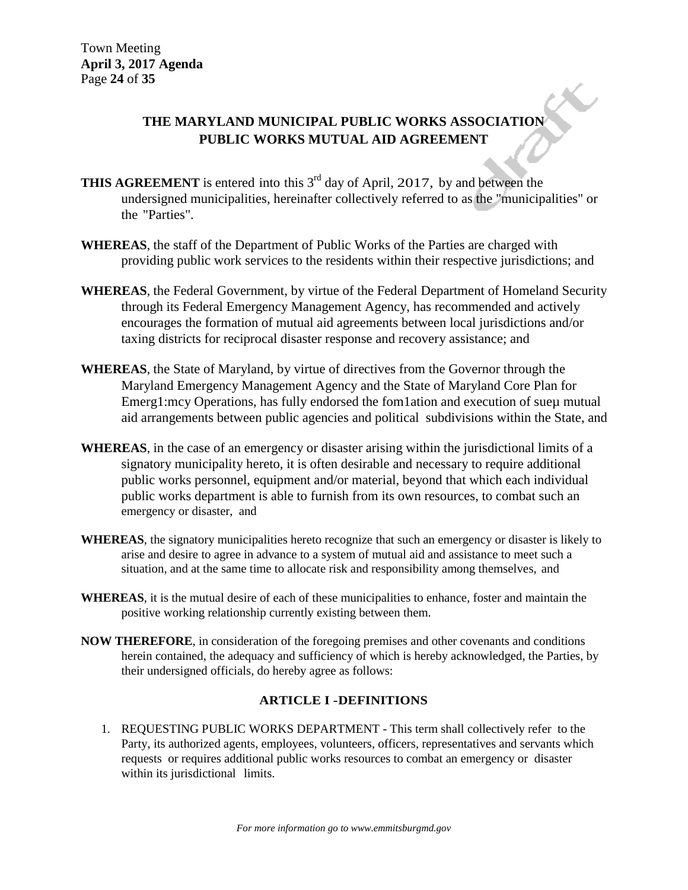# **THE MARYLAND MUNICIPAL PUBLIC WORKS ASSOCIATION PUBLIC WORKS MUTUAL AID AGREEMENT**

- **THIS AGREEMENT** is entered into this 3<sup>rd</sup> day of April, 2017, by and between the undersigned municipalities, hereinafter collectively referred to as the "municipalities" or the "Parties".
- **WHEREAS**, the staff of the Department of Public Works of the Parties are charged with providing public work services to the residents within their respective jurisdictions; and
- **WHEREAS**, the Federal Government, by virtue of the Federal Department of Homeland Security through its Federal Emergency Management Agency, has recommended and actively encourages the formation of mutual aid agreements between local jurisdictions and/or taxing districts for reciprocal disaster response and recovery assistance; and
- **WHEREAS**, the State of Maryland, by virtue of directives from the Governor through the Maryland Emergency Management Agency and the State of Maryland Core Plan for Emerg1:mcy Operations, has fully endorsed the fom1ation and execution of sueµ mutual aid arrangements between public agencies and political subdivisions within the State, and
- **WHEREAS**, in the case of an emergency or disaster arising within the jurisdictional limits of a signatory municipality hereto, it is often desirable and necessary to require additional public works personnel, equipment and/or material, beyond that which each individual public works department is able to furnish from its own resources, to combat such an emergency or disaster, and
- **WHEREAS**, the signatory municipalities hereto recognize that such an emergency or disaster is likely to arise and desire to agree in advance to a system of mutual aid and assistance to meet such a situation, and at the same time to allocate risk and responsibility among themselves, and
- **WHEREAS**, it is the mutual desire of each of these municipalities to enhance, foster and maintain the positive working relationship currently existing between them.
- **NOW THEREFORE**, in consideration of the foregoing premises and other covenants and conditions herein contained, the adequacy and sufficiency of which is hereby acknowledged, the Parties, by their undersigned officials, do hereby agree as follows:

#### **ARTICLE I -DEFINITIONS**

1. REQUESTING PUBLIC WORKS DEPARTMENT - This term shall collectively refer to the Party, its authorized agents, employees, volunteers, officers, representatives and servants which requests or requires additional public works resources to combat an emergency or disaster within its jurisdictional limits.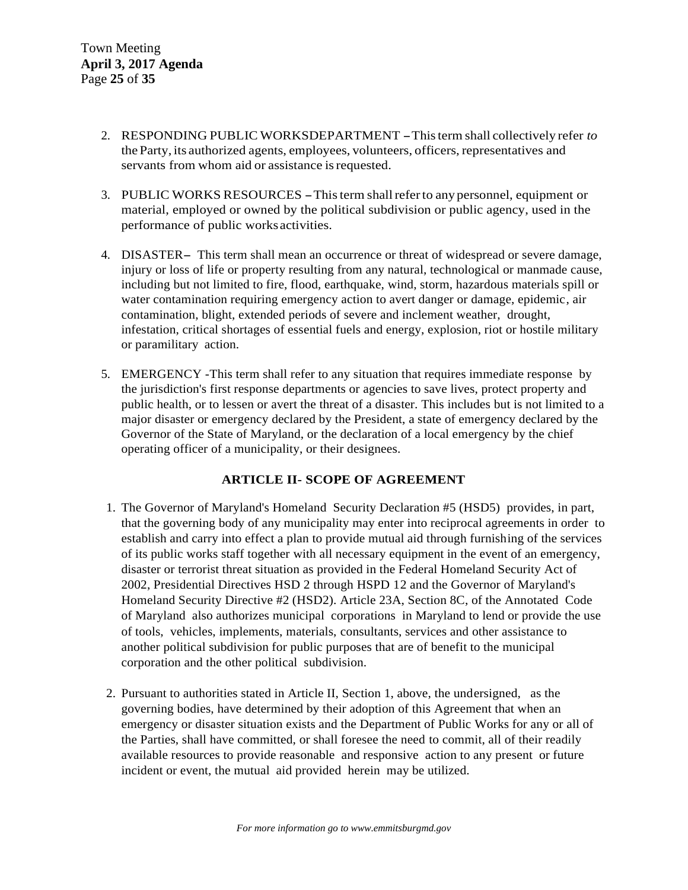- 2. RESPONDING PUBLIC WORKSDEPARTMENT -Thisterm shall collectively refer *to* the Party, its authorized agents, employees, volunteers, officers, representatives and servants from whom aid or assistance is requested.
- 3. PUBLIC WORKS RESOURCES -Thisterm shallreferto any personnel, equipment or material, employed or owned by the political subdivision or public agency, used in the performance of public worksactivities.
- 4. DISASTER- This term shall mean an occurrence or threat of widespread or severe damage, injury or loss of life or property resulting from any natural, technological or manmade cause, including but not limited to fire, flood, earthquake, wind, storm, hazardous materials spill or water contamination requiring emergency action to avert danger or damage, epidemic, air contamination, blight, extended periods of severe and inclement weather, drought, infestation, critical shortages of essential fuels and energy, explosion, riot or hostile military or paramilitary action.
- 5. EMERGENCY -This term shall refer to any situation that requires immediate response by the jurisdiction's first response departments or agencies to save lives, protect property and public health, or to lessen or avert the threat of a disaster. This includes but is not limited to a major disaster or emergency declared by the President, a state of emergency declared by the Governor of the State of Maryland, or the declaration of a local emergency by the chief operating officer of a municipality, or their designees.

#### **ARTICLE II- SCOPE OF AGREEMENT**

- 1. The Governor of Maryland's Homeland Security Declaration #5 (HSD5) provides, in part, that the governing body of any municipality may enter into reciprocal agreements in order to establish and carry into effect a plan to provide mutual aid through furnishing of the services of its public works staff together with all necessary equipment in the event of an emergency, disaster or terrorist threat situation as provided in the Federal Homeland Security Act of 2002, Presidential Directives HSD 2 through HSPD 12 and the Governor of Maryland's Homeland Security Directive #2 (HSD2). Article 23A, Section 8C, of the Annotated Code of Maryland also authorizes municipal corporations in Maryland to lend or provide the use of tools, vehicles, implements, materials, consultants, services and other assistance to another political subdivision for public purposes that are of benefit to the municipal corporation and the other political subdivision.
- 2. Pursuant to authorities stated in Article II, Section 1, above, the undersigned, as the governing bodies, have determined by their adoption of this Agreement that when an emergency or disaster situation exists and the Department of Public Works for any or all of the Parties, shall have committed, or shall foresee the need to commit, all of their readily available resources to provide reasonable and responsive action to any present or future incident or event, the mutual aid provided herein may be utilized.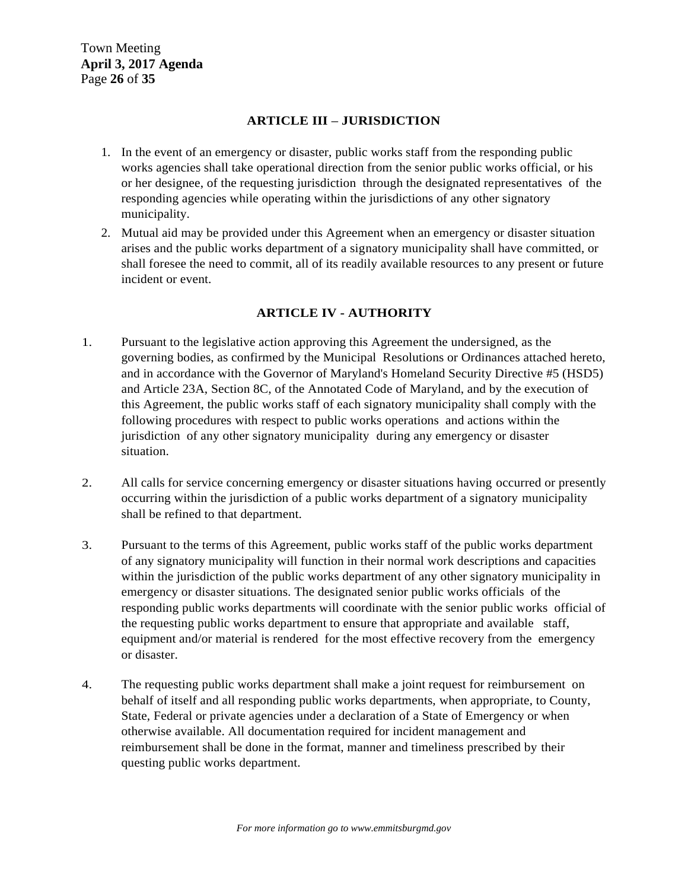#### **ARTICLE III – JURISDICTION**

- 1. In the event of an emergency or disaster, public works staff from the responding public works agencies shall take operational direction from the senior public works official, or his or her designee, of the requesting jurisdiction through the designated representatives of the responding agencies while operating within the jurisdictions of any other signatory municipality.
- 2. Mutual aid may be provided under this Agreement when an emergency or disaster situation arises and the public works department of a signatory municipality shall have committed, or shall foresee the need to commit, all of its readily available resources to any present or future incident or event.

### **ARTICLE IV - AUTHORITY**

- 1. Pursuant to the legislative action approving this Agreement the undersigned, as the governing bodies, as confirmed by the Municipal Resolutions or Ordinances attached hereto, and in accordance with the Governor of Maryland's Homeland Security Directive #5 (HSD5) and Article 23A, Section 8C, of the Annotated Code of Maryland, and by the execution of this Agreement, the public works staff of each signatory municipality shall comply with the following procedures with respect to public works operations and actions within the jurisdiction of any other signatory municipality during any emergency or disaster situation.
- 2. All calls for service concerning emergency or disaster situations having occurred or presently occurring within the jurisdiction of a public works department of a signatory municipality shall be refined to that department.
- 3. Pursuant to the terms of this Agreement, public works staff of the public works department of any signatory municipality will function in their normal work descriptions and capacities within the jurisdiction of the public works department of any other signatory municipality in emergency or disaster situations. The designated senior public works officials of the responding public works departments will coordinate with the senior public works official of the requesting public works department to ensure that appropriate and available staff, equipment and/or material is rendered for the most effective recovery from the emergency or disaster.
- 4. The requesting public works department shall make a joint request for reimbursement on behalf of itself and all responding public works departments, when appropriate, to County, State, Federal or private agencies under a declaration of a State of Emergency or when otherwise available. All documentation required for incident management and reimbursement shall be done in the format, manner and timeliness prescribed by their questing public works department.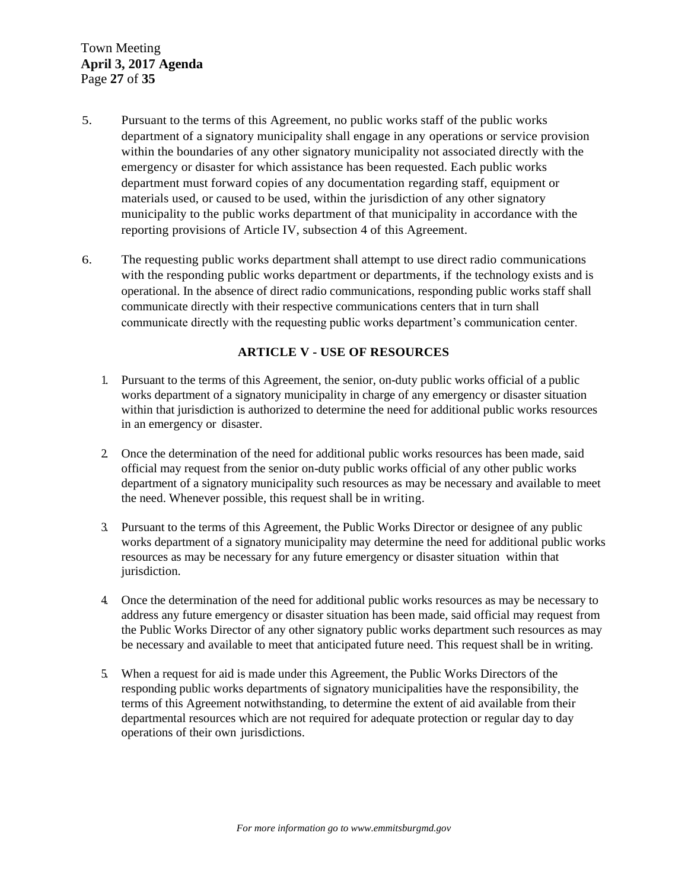- 5. Pursuant to the terms of this Agreement, no public works staff of the public works department of a signatory municipality shall engage in any operations or service provision within the boundaries of any other signatory municipality not associated directly with the emergency or disaster for which assistance has been requested. Each public works department must forward copies of any documentation regarding staff, equipment or materials used, or caused to be used, within the jurisdiction of any other signatory municipality to the public works department of that municipality in accordance with the reporting provisions of Article IV, subsection 4 of this Agreement.
- 6. The requesting public works department shall attempt to use direct radio communications with the responding public works department or departments, if the technology exists and is operational. In the absence of direct radio communications, responding public works staff shall communicate directly with their respective communications centers that in turn shall communicate directly with the requesting public works department"s communication center.

#### **ARTICLE V - USE OF RESOURCES**

- 1. Pursuant to the terms of this Agreement, the senior, on-duty public works official of a public works department of a signatory municipality in charge of any emergency or disaster situation within that jurisdiction is authorized to determine the need for additional public works resources in an emergency or disaster.
- 2. Once the determination of the need for additional public works resources has been made, said official may request from the senior on-duty public works official of any other public works department of a signatory municipality such resources as may be necessary and available to meet the need. Whenever possible, this request shall be in writing.
- 3. Pursuant to the terms of this Agreement, the Public Works Director or designee of any public works department of a signatory municipality may determine the need for additional public works resources as may be necessary for any future emergency or disaster situation within that jurisdiction.
- 4. Once the determination of the need for additional public works resources as may be necessary to address any future emergency or disaster situation has been made, said official may request from the Public Works Director of any other signatory public works department such resources as may be necessary and available to meet that anticipated future need. This request shall be in writing.
- 5. When a request for aid is made under this Agreement, the Public Works Directors of the responding public works departments of signatory municipalities have the responsibility, the terms of this Agreement notwithstanding, to determine the extent of aid available from their departmental resources which are not required for adequate protection or regular day to day operations of their own jurisdictions.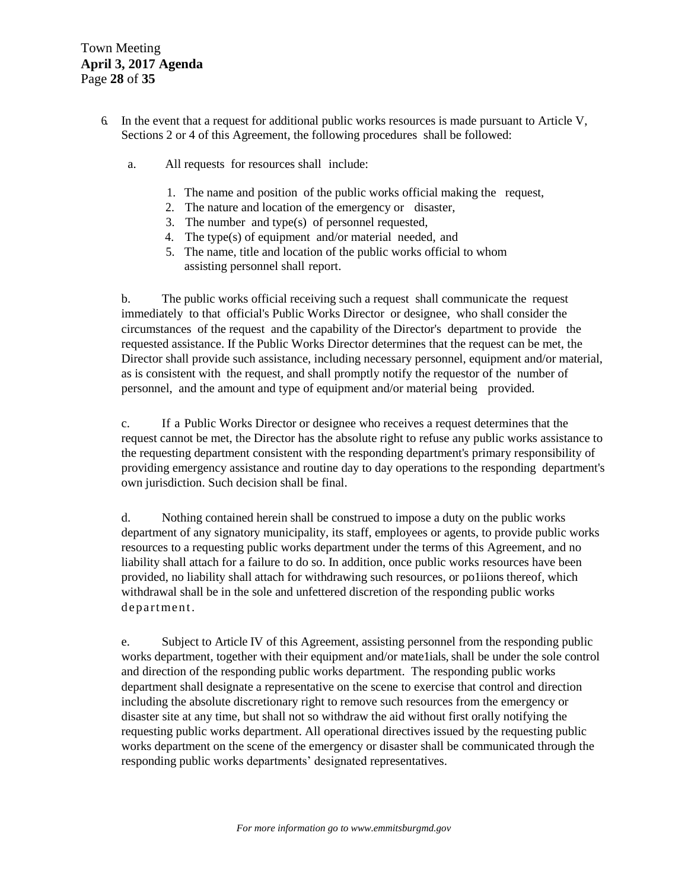- 6. In the event that a request for additional public works resources is made pursuant to Article V, Sections 2 or 4 of this Agreement, the following procedures shall be followed:
	- a. All requests for resources shall include:
		- 1. The name and position of the public works official making the request,
		- 2. The nature and location of the emergency or disaster,
		- 3. The number and type(s) of personnel requested,
		- 4. The type(s) of equipment and/or material needed, and
		- 5. The name, title and location of the public works official to whom assisting personnel shall report.

b. The public works official receiving such a request shall communicate the request immediately to that official's Public Works Director or designee, who shall consider the circumstances of the request and the capability of the Director's department to provide the requested assistance. If the Public Works Director determines that the request can be met, the Director shall provide such assistance, including necessary personnel, equipment and/or material, as is consistent with the request, and shall promptly notify the requestor of the number of personnel, and the amount and type of equipment and/or material being provided.

c. If a Public Works Director or designee who receives a request determines that the request cannot be met, the Director has the absolute right to refuse any public works assistance to the requesting department consistent with the responding department's primary responsibility of providing emergency assistance and routine day to day operations to the responding department's own jurisdiction. Such decision shall be final.

d. Nothing contained herein shall be construed to impose a duty on the public works department of any signatory municipality, its staff, employees or agents, to provide public works resources to a requesting public works department under the terms of this Agreement, and no liability shall attach for a failure to do so. In addition, once public works resources have been provided, no liability shall attach for withdrawing such resources, or po1iions thereof, which withdrawal shall be in the sole and unfettered discretion of the responding public works department.

e. Subject to Article IV of this Agreement, assisting personnel from the responding public works department, together with their equipment and/or mate1ials, shall be under the sole control and direction of the responding public works department. The responding public works department shall designate a representative on the scene to exercise that control and direction including the absolute discretionary right to remove such resources from the emergency or disaster site at any time, but shall not so withdraw the aid without first orally notifying the requesting public works department. All operational directives issued by the requesting public works department on the scene of the emergency or disaster shall be communicated through the responding public works departments' designated representatives.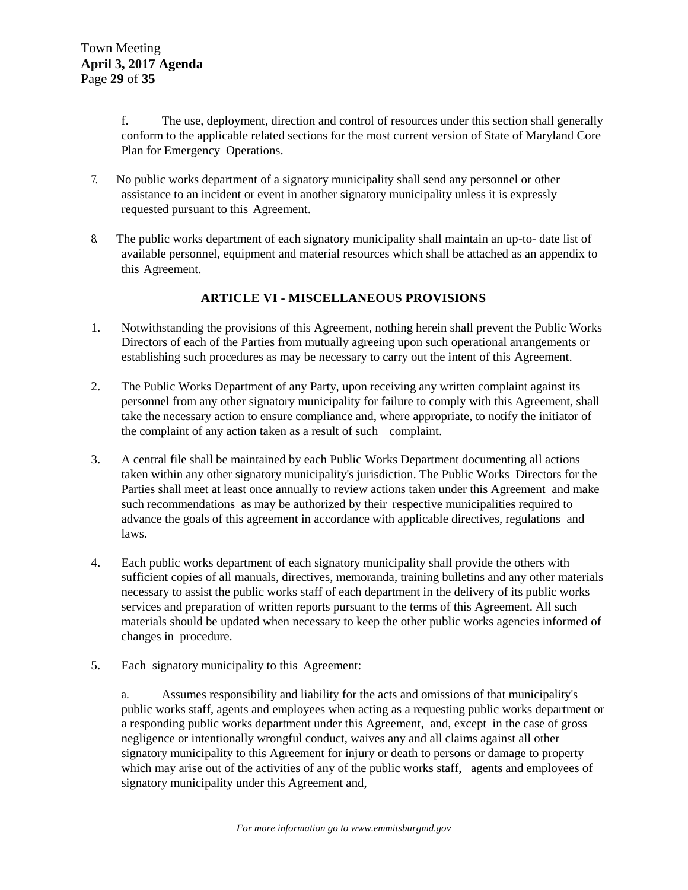f. The use, deployment, direction and control of resources under this section shall generally conform to the applicable related sections for the most current version of State of Maryland Core Plan for Emergency Operations.

- 7. No public works department of a signatory municipality shall send any personnel or other assistance to an incident or event in another signatory municipality unless it is expressly requested pursuant to this Agreement.
- 8. The public works department of each signatory municipality shall maintain an up-to- date list of available personnel, equipment and material resources which shall be attached as an appendix to this Agreement.

#### **ARTICLE VI - MISCELLANEOUS PROVISIONS**

- 1. Notwithstanding the provisions of this Agreement, nothing herein shall prevent the Public Works Directors of each of the Parties from mutually agreeing upon such operational arrangements or establishing such procedures as may be necessary to carry out the intent of this Agreement.
- 2. The Public Works Department of any Party, upon receiving any written complaint against its personnel from any other signatory municipality for failure to comply with this Agreement, shall take the necessary action to ensure compliance and, where appropriate, to notify the initiator of the complaint of any action taken as a result of such complaint.
- 3. A central file shall be maintained by each Public Works Department documenting all actions taken within any other signatory municipality's jurisdiction. The Public Works Directors for the Parties shall meet at least once annually to review actions taken under this Agreement and make such recommendations as may be authorized by their respective municipalities required to advance the goals of this agreement in accordance with applicable directives, regulations and laws.
- 4. Each public works department of each signatory municipality shall provide the others with sufficient copies of all manuals, directives, memoranda, training bulletins and any other materials necessary to assist the public works staff of each department in the delivery of its public works services and preparation of written reports pursuant to the terms of this Agreement. All such materials should be updated when necessary to keep the other public works agencies informed of changes in procedure.
- 5. Each signatory municipality to this Agreement:

a. Assumes responsibility and liability for the acts and omissions of that municipality's public works staff, agents and employees when acting as a requesting public works department or a responding public works department under this Agreement, and, except in the case of gross negligence or intentionally wrongful conduct, waives any and all claims against all other signatory municipality to this Agreement for injury or death to persons or damage to property which may arise out of the activities of any of the public works staff, agents and employees of signatory municipality under this Agreement and,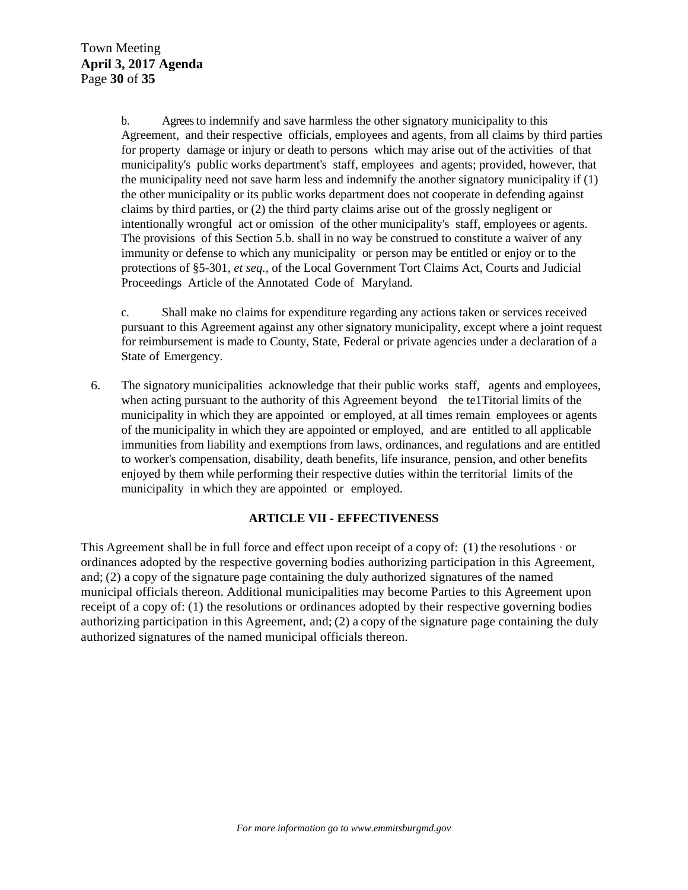b. Agreesto indemnify and save harmless the other signatory municipality to this Agreement, and their respective officials, employees and agents, from all claims by third parties for property damage or injury or death to persons which may arise out of the activities of that municipality's public works department's staff, employees and agents; provided, however, that the municipality need not save harm less and indemnify the another signatory municipality if (1) the other municipality or its public works department does not cooperate in defending against claims by third parties, or (2) the third party claims arise out of the grossly negligent or intentionally wrongful act or omission of the other municipality's staff, employees or agents. The provisions of this Section 5.b. shall in no way be construed to constitute a waiver of any immunity or defense to which any municipality or person may be entitled or enjoy or to the protections of §5-301, *et seq.,* of the Local Government Tort Claims Act, Courts and Judicial Proceedings Article of the Annotated Code of Maryland.

c. Shall make no claims for expenditure regarding any actions taken or services received pursuant to this Agreement against any other signatory municipality, except where a joint request for reimbursement is made to County, State, Federal or private agencies under a declaration of a State of Emergency.

6. The signatory municipalities acknowledge that their public works staff, agents and employees, when acting pursuant to the authority of this Agreement beyond the te1Titorial limits of the municipality in which they are appointed or employed, at all times remain employees or agents of the municipality in which they are appointed or employed, and are entitled to all applicable immunities from liability and exemptions from laws, ordinances, and regulations and are entitled to worker's compensation, disability, death benefits, life insurance, pension, and other benefits enjoyed by them while performing their respective duties within the territorial limits of the municipality in which they are appointed or employed.

#### **ARTICLE VII - EFFECTIVENESS**

This Agreement shall be in full force and effect upon receipt of a copy of: (1) the resolutions  $\cdot$  or ordinances adopted by the respective governing bodies authorizing participation in this Agreement, and; (2) a copy of the signature page containing the duly authorized signatures of the named municipal officials thereon. Additional municipalities may become Parties to this Agreement upon receipt of a copy of: (1) the resolutions or ordinances adopted by their respective governing bodies authorizing participation in this Agreement, and; (2) a copy ofthe signature page containing the duly authorized signatures of the named municipal officials thereon.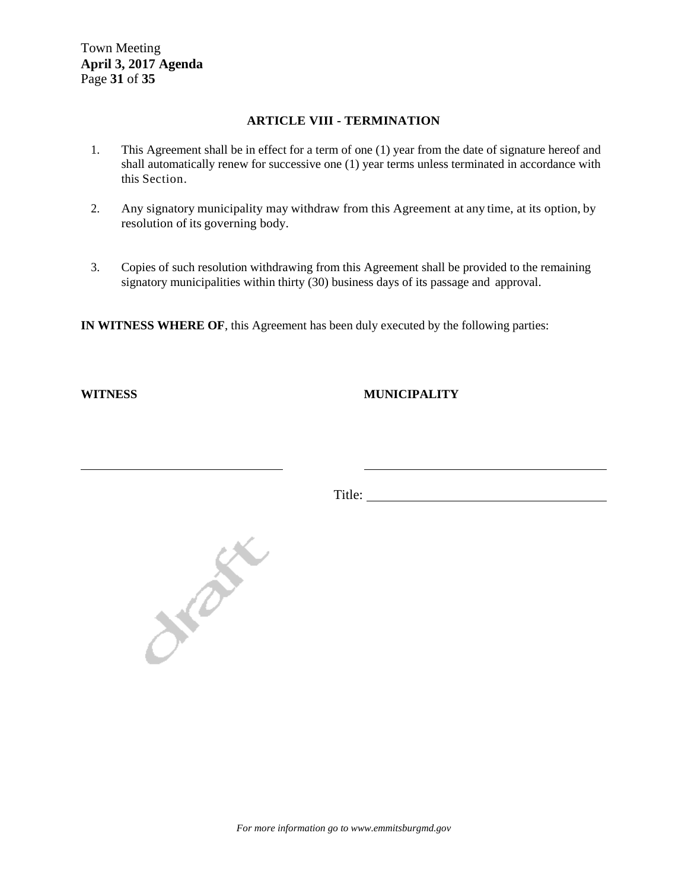Town Meeting **April 3, 2017 Agenda**  Page **31** of **35**

#### **ARTICLE VIII - TERMINATION**

- 1. This Agreement shall be in effect for a term of one (1) year from the date of signature hereof and shall automatically renew for successive one (1) year terms unless terminated in accordance with this Section.
- 2. Any signatory municipality may withdraw from this Agreement at any time, at its option, by resolution of its governing body.
- 3. Copies of such resolution withdrawing from this Agreement shall be provided to the remaining signatory municipalities within thirty (30) business days of its passage and approval.

**IN WITNESS WHERE OF**, this Agreement has been duly executed by the following parties:

#### **WITNESS MUNICIPALITY**

Title:



*For more information go to www.emmitsburgmd.gov*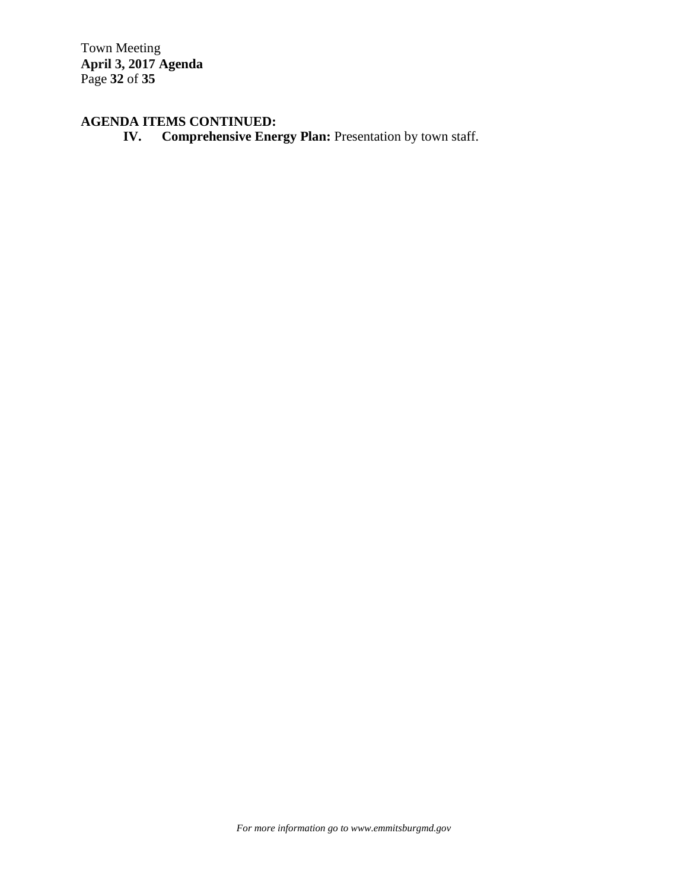Town Meeting **April 3, 2017 Agenda**  Page **32** of **35**

# **AGENDA ITEMS CONTINUED:**

**IV.** Comprehensive Energy Plan: Presentation by town staff.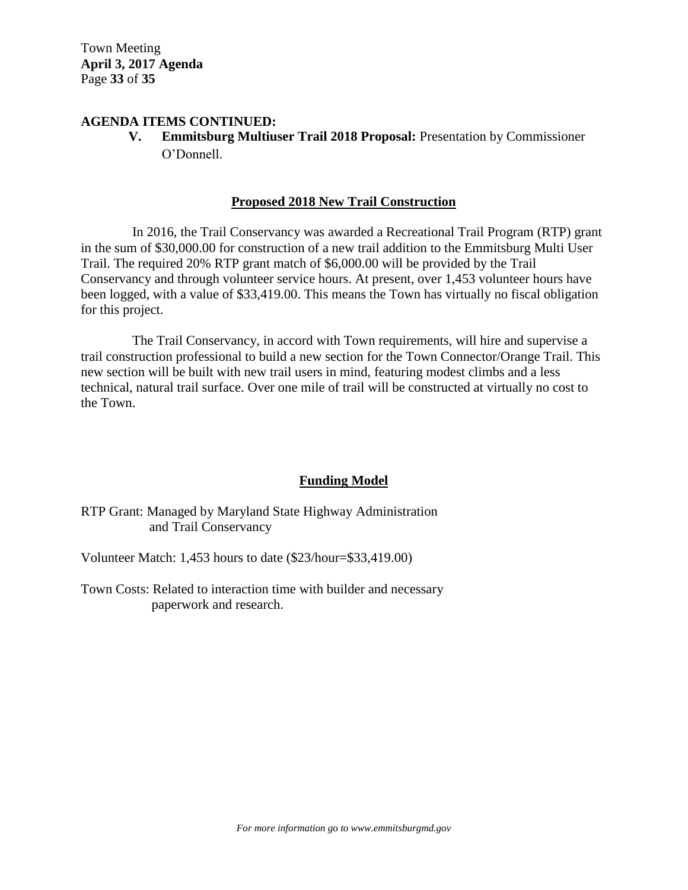Town Meeting **April 3, 2017 Agenda**  Page **33** of **35**

#### **AGENDA ITEMS CONTINUED:**

**V. Emmitsburg Multiuser Trail 2018 Proposal:** Presentation by Commissioner O"Donnell.

#### **Proposed 2018 New Trail Construction**

In 2016, the Trail Conservancy was awarded a Recreational Trail Program (RTP) grant in the sum of \$30,000.00 for construction of a new trail addition to the Emmitsburg Multi User Trail. The required 20% RTP grant match of \$6,000.00 will be provided by the Trail Conservancy and through volunteer service hours. At present, over 1,453 volunteer hours have been logged, with a value of \$33,419.00. This means the Town has virtually no fiscal obligation for this project.

The Trail Conservancy, in accord with Town requirements, will hire and supervise a trail construction professional to build a new section for the Town Connector/Orange Trail. This new section will be built with new trail users in mind, featuring modest climbs and a less technical, natural trail surface. Over one mile of trail will be constructed at virtually no cost to the Town.

#### **Funding Model**

RTP Grant: Managed by Maryland State Highway Administration and Trail Conservancy

Volunteer Match: 1,453 hours to date (\$23/hour=\$33,419.00)

Town Costs: Related to interaction time with builder and necessary paperwork and research.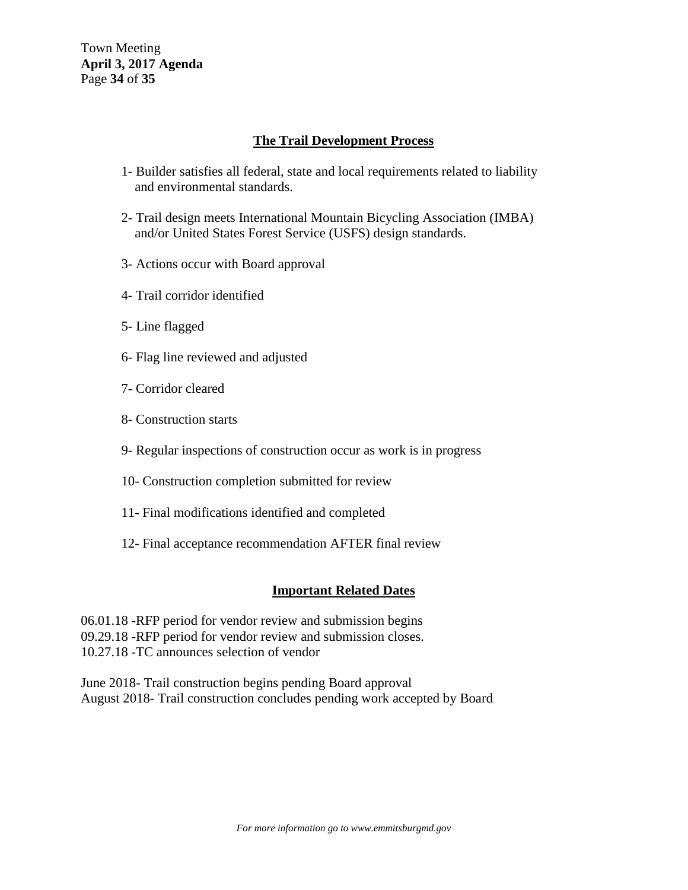Town Meeting **April 3, 2017 Agenda**  Page **34** of **35**

#### **The Trail Development Process**

- 1- Builder satisfies all federal, state and local requirements related to liability and environmental standards.
- 2- Trail design meets International Mountain Bicycling Association (IMBA) and/or United States Forest Service (USFS) design standards.
- 3- Actions occur with Board approval
- 4- Trail corridor identified
- 5- Line flagged
- 6- Flag line reviewed and adjusted
- 7- Corridor cleared
- 8- Construction starts
- 9- Regular inspections of construction occur as work is in progress
- 10- Construction completion submitted for review
- 11- Final modifications identified and completed
- 12- Final acceptance recommendation AFTER final review

#### **Important Related Dates**

06.01.18 -RFP period for vendor review and submission begins 09.29.18 -RFP period for vendor review and submission closes. 10.27.18 -TC announces selection of vendor

June 2018- Trail construction begins pending Board approval August 2018- Trail construction concludes pending work accepted by Board